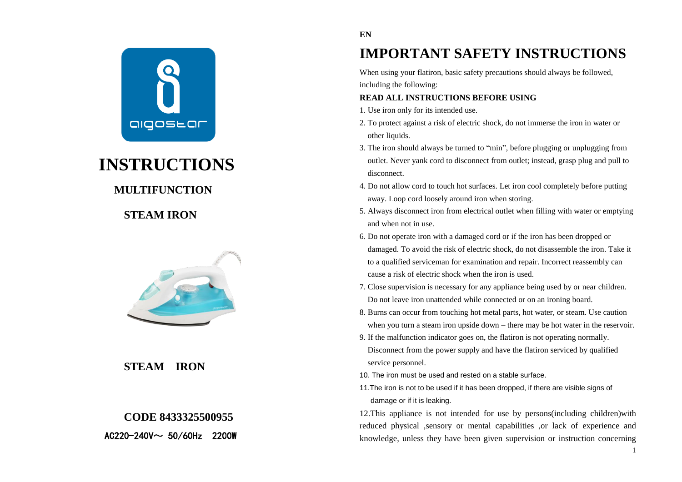

# **INSTRUCTIONS**

# **MULTIFUNCTION**

# **STEAM IRON**



# **STEAM IRON**

# **CODE 8433325500955**

 $AC220 - 240V \sim 50/60Hz$  2200W

### **EN**

# **IMPORTANT SAFETY INSTRUCTIONS**

When using your flatiron, basic safety precautions should always be followed, including the following:

### **READ ALL INSTRUCTIONS BEFORE USING**

1. Use iron only for its intended use.

- 2. To protect against a risk of electric shock, do not immerse the iron in water or other liquids.
- 3. The iron should always be turned to "min", before plugging or unplugging from outlet. Never yank cord to disconnect from outlet; instead, grasp plug and pull to disconnect.
- 4. Do not allow cord to touch hot surfaces. Let iron cool completely before putting away. Loop cord loosely around iron when storing.
- 5. Always disconnect iron from electrical outlet when filling with water or emptying and when not in use.
- 6. Do not operate iron with a damaged cord or if the iron has been dropped or damaged. To avoid the risk of electric shock, do not disassemble the iron. Take it to a qualified serviceman for examination and repair. Incorrect reassembly can cause a risk of electric shock when the iron is used.
- 7. Close supervision is necessary for any appliance being used by or near children. Do not leave iron unattended while connected or on an ironing board.
- 8. Burns can occur from touching hot metal parts, hot water, or steam. Use caution when you turn a steam iron upside down – there may be hot water in the reservoir.
- 9. If the malfunction indicator goes on, the flatiron is not operating normally. Disconnect from the power supply and have the flatiron serviced by qualified service personnel.
- 10. The iron must be used and rested on a stable surface.
- 11.The iron is not to be used if it has been dropped, if there are visible signs of damage or if it is leaking.

12.This appliance is not intended for use by persons(including children)with reduced physical ,sensory or mental capabilities ,or lack of experience and knowledge, unless they have been given supervision or instruction concerning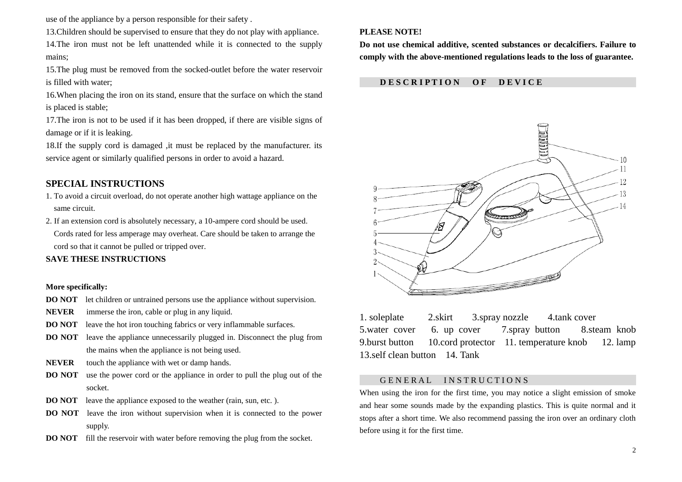use of the appliance by a person responsible for their safety .

13.Children should be supervised to ensure that they do not play with appliance. 14.The iron must not be left unattended while it is connected to the supply mains;

15.The plug must be removed from the socked-outlet before the water reservoir is filled with water;

16.When placing the iron on its stand, ensure that the surface on which the stand is placed is stable;

17.The iron is not to be used if it has been dropped, if there are visible signs of damage or if it is leaking.

18.If the supply cord is damaged ,it must be replaced by the manufacturer. its service agent or similarly qualified persons in order to avoid a hazard.

## **SPECIAL INSTRUCTIONS**

- 1. To avoid a circuit overload, do not operate another high wattage appliance on the same circuit.
- 2. If an extension cord is absolutely necessary, a 10-ampere cord should be used. Cords rated for less amperage may overheat. Care should be taken to arrange the cord so that it cannot be pulled or tripped over.

### **SAVE THESE INSTRUCTIONS**

### **More specifically:**

- **DO NOT** let children or untrained persons use the appliance without supervision.
- **NEVER** immerse the iron, cable or plug in any liquid.
- **DO NOT** leave the hot iron touching fabrics or very inflammable surfaces.
- **DO NOT** leave the appliance unnecessarily plugged in. Disconnect the plug from the mains when the appliance is not being used.
- **NEVER** touch the appliance with wet or damp hands.
- **DO NOT** use the power cord or the appliance in order to pull the plug out of the socket.
- **DO NOT** leave the appliance exposed to the weather (rain, sun, etc.).
- **DO NOT** leave the iron without supervision when it is connected to the power supply.
- **DO NOT** fill the reservoir with water before removing the plug from the socket.

### **PLEASE NOTE!**

**Do not use chemical additive, scented substances or decalcifiers. Failure to comply with the above-mentioned regulations leads to the loss of guarantee.**

### **D E S C R I P T I O N O F D E V I C E**



1. soleplate 2.skirt 3.spray nozzle 4.tank cover 5.water cover 6. up cover 7.spray button 8.steam knob 9.burst button 10.cord protector 11. temperature knob 12. lamp 13.self clean button 14. Tank

### GENERAL INSTRUCTIONS

When using the iron for the first time, you may notice a slight emission of smoke and hear some sounds made by the expanding plastics. This is quite normal and it stops after a short time. We also recommend passing the iron over an ordinary cloth before using it for the first time.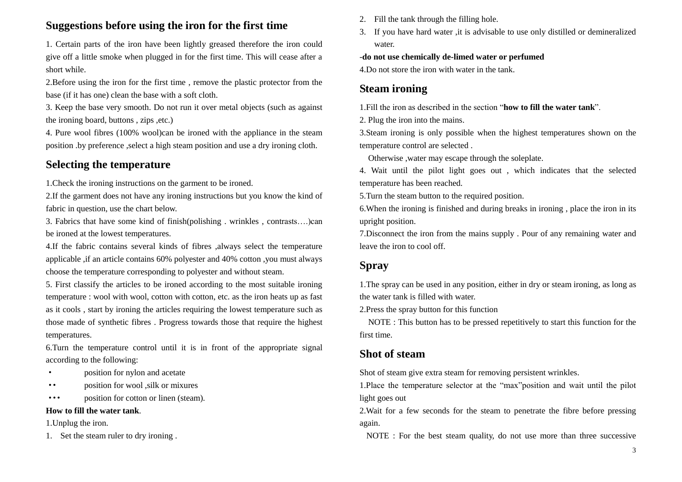# **Suggestions before using the iron for the first time**

1. Certain parts of the iron have been lightly greased therefore the iron could give off a little smoke when plugged in for the first time. This will cease after a short while.

2.Before using the iron for the first time , remove the plastic protector from the base (if it has one) clean the base with a soft cloth.

3. Keep the base very smooth. Do not run it over metal objects (such as against the ironing board, buttons , zips ,etc.)

4. Pure wool fibres (100% wool)can be ironed with the appliance in the steam position .by preference ,select a high steam position and use a dry ironing cloth.

# **Selecting the temperature**

1.Check the ironing instructions on the garment to be ironed.

2.If the garment does not have any ironing instructions but you know the kind of fabric in question, use the chart below.

3. Fabrics that have some kind of finish(polishing . wrinkles , contrasts….)can be ironed at the lowest temperatures.

4.If the fabric contains several kinds of fibres ,always select the temperature applicable ,if an article contains 60% polyester and 40% cotton ,you must always choose the temperature corresponding to polyester and without steam.

5. First classify the articles to be ironed according to the most suitable ironing temperature : wool with wool, cotton with cotton, etc. as the iron heats up as fast as it cools , start by ironing the articles requiring the lowest temperature such as those made of synthetic fibres . Progress towards those that require the highest temperatures.

6.Turn the temperature control until it is in front of the appropriate signal according to the following:

- · position for nylon and acetate
- ·· position for wool ,silk or mixures

··· position for cotton or linen (steam).

### **How to fill the water tank**.

1.Unplug the iron.

1. Set the steam ruler to dry ironing .

- 2. Fill the tank through the filling hole.
- 3. If you have hard water ,it is advisable to use only distilled or demineralized water.

### -**do not use chemically de-limed water or perfumed**

4.Do not store the iron with water in the tank.

# **Steam ironing**

1.Fill the iron as described in the section "**how to fill the water tank**".

2. Plug the iron into the mains.

3.Steam ironing is only possible when the highest temperatures shown on the temperature control are selected .

Otherwise ,water may escape through the soleplate.

4. Wait until the pilot light goes out , which indicates that the selected temperature has been reached.

5.Turn the steam button to the required position.

6.When the ironing is finished and during breaks in ironing , place the iron in its upright position.

7.Disconnect the iron from the mains supply . Pour of any remaining water and leave the iron to cool off.

# **Spray**

1.The spray can be used in any position, either in dry or steam ironing, as long as the water tank is filled with water.

2.Press the spray button for this function

NOTE : This button has to be pressed repetitively to start this function for the first time.

# **Shot of steam**

Shot of steam give extra steam for removing persistent wrinkles.

1.Place the temperature selector at the "max"position and wait until the pilot light goes out

2.Wait for a few seconds for the steam to penetrate the fibre before pressing again.

NOTE : For the best steam quality, do not use more than three successive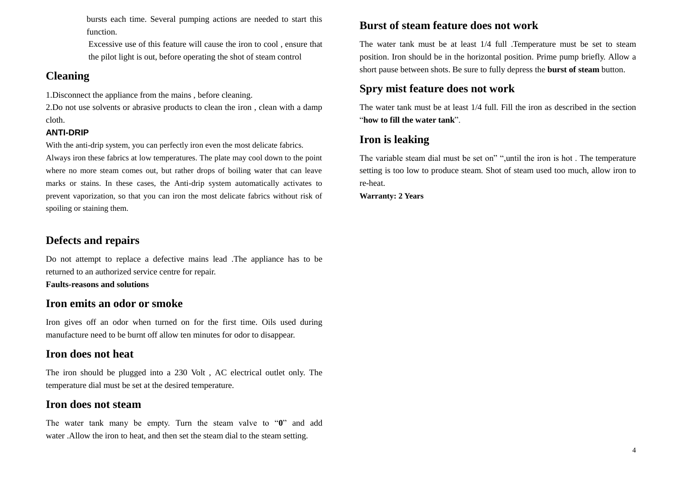bursts each time. Several pumping actions are needed to start this function.

Excessive use of this feature will cause the iron to cool , ensure that the pilot light is out, before operating the shot of steam control

# **Cleaning**

1.Disconnect the appliance from the mains , before cleaning.

2.Do not use solvents or abrasive products to clean the iron , clean with a damp cloth.

## **ANTI-DRIP**

With the anti-drip system, you can perfectly iron even the most delicate fabrics.

Always iron these fabrics at low temperatures. The plate may cool down to the point where no more steam comes out, but rather drops of boiling water that can leave marks or stains. In these cases, the Anti-drip system automatically activates to prevent vaporization, so that you can iron the most delicate fabrics without risk of spoiling or staining them.

# **Defects and repairs**

Do not attempt to replace a defective mains lead .The appliance has to be returned to an authorized service centre for repair.

**Faults-reasons and solutions**

# **Iron emits an odor or smoke**

Iron gives off an odor when turned on for the first time. Oils used during manufacture need to be burnt off allow ten minutes for odor to disappear.

# **Iron does not heat**

The iron should be plugged into a 230 Volt , AC electrical outlet only. The temperature dial must be set at the desired temperature.

# **Iron does not steam**

The water tank many be empty. Turn the steam valve to "**0**" and add water .Allow the iron to heat, and then set the steam dial to the steam setting.

# **Burst of steam feature does not work**

The water tank must be at least 1/4 full .Temperature must be set to steam position. Iron should be in the horizontal position. Prime pump briefly. Allow a short pause between shots. Be sure to fully depress the **burst of steam** button.

# **Spry mist feature does not work**

The water tank must be at least 1/4 full. Fill the iron as described in the section "**how to fill the water tank**".

# **Iron is leaking**

The variable steam dial must be set on" ",until the iron is hot . The temperature setting is too low to produce steam. Shot of steam used too much, allow iron to re-heat.

**Warranty: 2 Years**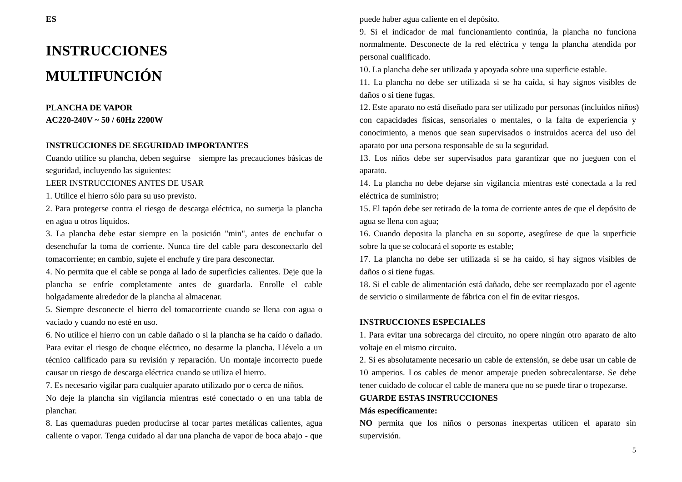# **INSTRUCCIONES MULTIFUNCIÓN**

### **PLANCHA DE VAPOR AC220-240V ~ 50 / 60Hz 2200W**

### **INSTRUCCIONES DE SEGURIDAD IMPORTANTES**

Cuando utilice su plancha, deben seguirse siempre las precauciones básicas de seguridad, incluyendo las siguientes:

### LEER INSTRUCCIONES ANTES DE USAR

1. Utilice el hierro sólo para su uso previsto.

2. Para protegerse contra el riesgo de descarga eléctrica, no sumerja la plancha en agua u otros líquidos.

3. La plancha debe estar siempre en la posición "min", antes de enchufar o desenchufar la toma de corriente. Nunca tire del cable para desconectarlo del tomacorriente; en cambio, sujete el enchufe y tire para desconectar.

4. No permita que el cable se ponga al lado de superficies calientes. Deje que la plancha se enfríe completamente antes de guardarla. Enrolle el cable holgadamente alrededor de la plancha al almacenar.

5. Siempre desconecte el hierro del tomacorriente cuando se llena con agua o vaciado y cuando no esté en uso.

6. No utilice el hierro con un cable dañado o si la plancha se ha caído o dañado. Para evitar el riesgo de choque eléctrico, no desarme la plancha. Llévelo a un técnico calificado para su revisión y reparación. Un montaje incorrecto puede causar un riesgo de descarga eléctrica cuando se utiliza el hierro.

7. Es necesario vigilar para cualquier aparato utilizado por o cerca de niños.

No deje la plancha sin vigilancia mientras esté conectado o en una tabla de planchar.

8. Las quemaduras pueden producirse al tocar partes metálicas calientes, agua caliente o vapor. Tenga cuidado al dar una plancha de vapor de boca abajo - que puede haber agua caliente en el depósito.

9. Si el indicador de mal funcionamiento continúa, la plancha no funciona normalmente. Desconecte de la red eléctrica y tenga la plancha atendida por personal cualificado.

10. La plancha debe ser utilizada y apoyada sobre una superficie estable.

11. La plancha no debe ser utilizada si se ha caída, si hay signos visibles de daños o si tiene fugas.

12. Este aparato no está diseñado para ser utilizado por personas (incluidos niños) con capacidades físicas, sensoriales o mentales, o la falta de experiencia y conocimiento, a menos que sean supervisados o instruidos acerca del uso del aparato por una persona responsable de su la seguridad.

13. Los niños debe ser supervisados para garantizar que no jueguen con el aparato.

14. La plancha no debe dejarse sin vigilancia mientras esté conectada a la red eléctrica de suministro;

15. El tapón debe ser retirado de la toma de corriente antes de que el depósito de agua se llena con agua;

16. Cuando deposita la plancha en su soporte, asegúrese de que la superficie sobre la que se colocar á el soporte es estable;

17. La plancha no debe ser utilizada si se ha caído, si hay signos visibles de daños o si tiene fugas.

18. Si el cable de alimentación está dañado, debe ser reemplazado por el agente de servicio o similarmente de fábrica con el fin de evitar riesgos.

### **INSTRUCCIONES ESPECIALES**

1. Para evitar una sobrecarga del circuito, no opere ningún otro aparato de alto voltaje en el mismo circuito.

2. Si es absolutamente necesario un cable de extensión, se debe usar un cable de 10 amperios. Los cables de menor amperaje pueden sobrecalentarse. Se debe tener cuidado de colocar el cable de manera que no se puede tirar o tropezarse.

### **GUARDE ESTAS INSTRUCCIONES**

### **M** ás espec ficamente:

**NO** permita que los niños o personas inexpertas utilicen el aparato sin supervisión.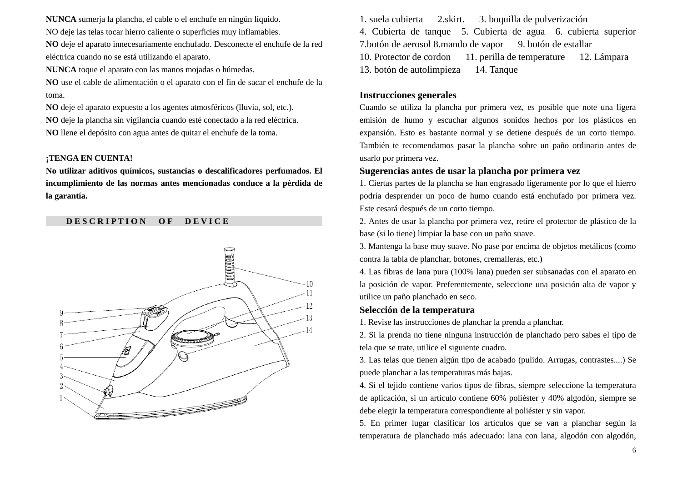**NUNCA** sumerja la plancha, el cable o el enchufe en ningún líquido.

NO deje las telas tocar hierro caliente o superficies muy inflamables.

**NO** deje el aparato innecesariamente enchufado. Desconecte el enchufe de la red eléctrica cuando no se está utilizando el aparato.

**NUNCA** toque el aparato con las manos mojadas o húmedas.

**NO** use el cable de alimentación o el aparato con el fin de sacar el enchufe de la toma.

**NO** deje el aparato expuesto a los agentes atmosféricos (lluvia, sol, etc.). **NO** deje la plancha sin vigilancia cuando esté conectado a la red eléctrica. **NO** llene el depósito con agua antes de quitar el enchufe de la toma.

### **¡TENGA EN CUENTA!**

**No utilizar aditivos químicos, sustancias o descalificadores perfumados. El incumplimiento de las normas antes mencionadas conduce a la pérdida de**  la garantía.

## **D E S C R I P T I O N O F D E V I C E**



1. suela cubierta 2.skirt. 3. boquilla de pulverización 4. Cubierta de tanque 5. Cubierta de agua 6. cubierta superior 7.botón de aerosol 8.mando de vapor 9. botón de estallar 10. Protector de cordon 11. perilla de temperature 12. Lámpara 13. botón de autolimpieza 14. Tanque

### **Instrucciones generales**

Cuando se utiliza la plancha por primera vez, es posible que note una ligera emisión de humo y escuchar algunos sonidos hechos por los plásticos en expansión. Esto es bastante normal y se detiene después de un corto tiempo. También te recomendamos pasar la plancha sobre un paño ordinario antes de usarlo por primera vez.

### **Sugerencias antes de usar la plancha por primera vez**

1. Ciertas partes de la plancha se han engrasado ligeramente por lo que el hierro podría desprender un poco de humo cuando está enchufado por primera vez. Este cesará después de un corto tiempo.

2. Antes de usar la plancha por primera vez, retire el protector de plástico de la base (si lo tiene) limpiar la base con un paño suave.

3. Mantenga la base muy suave. No pase por encima de objetos metálicos (como contra la tabla de planchar, botones, cremalleras, etc.)

4. Las fibras de lana pura (100% lana) pueden ser subsanadas con el aparato en la posición de vapor. Preferentemente, seleccione una posición alta de vapor y utilice un paño planchado en seco.

### **Selección de la temperatura**

1. Revise las instrucciones de planchar la prenda a planchar.

2. Si la prenda no tiene ninguna instrucción de planchado pero sabes el tipo de tela que se trate, utilice el siguiente cuadro.

3. Las telas que tienen algún tipo de acabado (pulido. Arrugas, contrastes....) Se puede planchar a las temperaturas más bajas.

4. Si el tejido contiene varios tipos de fibras, siempre seleccione la temperatura de aplicación, si un artículo contiene 60% poliéster y 40% algodón, siempre se debe elegir la temperatura correspondiente al poliéster y sin vapor.

5. En primer lugar clasificar los artículos que se van a planchar según la temperatura de planchado más adecuado: lana con lana, algodón con algodón,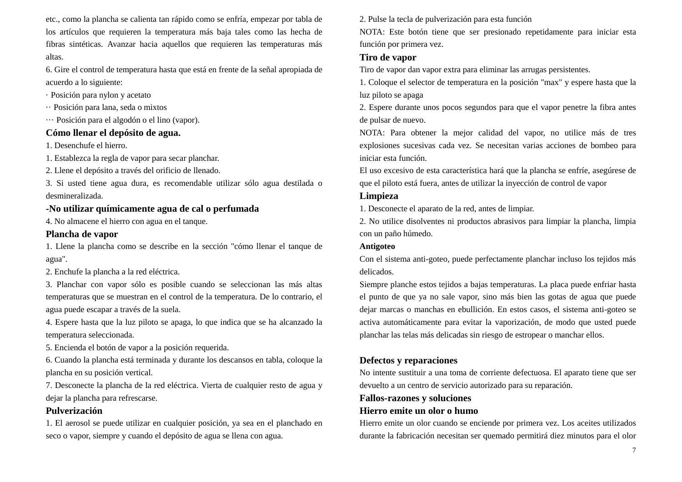etc., como la plancha se calienta tan rápido como se enfría, empezar por tabla de los artículos que requieren la temperatura más baja tales como las hecha de fibras sintéticas. Avanzar hacia aquellos que requieren las temperaturas más altas.

6. Gire el control de temperatura hasta que está en frente de la señal apropiada de acuerdo a lo siguiente:

· Posición para nylon y acetato

- ·· Posición para lana, seda o mixtos
- ··· Posición para el algodón o el lino (vapor).

## **Cómo llenar el depósito de agua.**

1. Desenchufe el hierro.

1. Establezca la regla de vapor para secar planchar.

2. Llene el depósito a través del orificio de llenado.

3. Si usted tiene agua dura, es recomendable utilizar sólo agua destilada o desmineralizada.

# **-No utilizar químicamente agua de cal o perfumada**

4. No almacene el hierro con agua en el tanque.

# **Plancha de vapor**

1. Llene la plancha como se describe en la sección "cómo llenar el tanque de agua".

2. Enchufe la plancha a la red el éctrica.

3. Planchar con vapor sólo es posible cuando se seleccionan las más altas temperaturas que se muestran en el control de la temperatura. De lo contrario, el agua puede escapar a través de la suela.

4. Espere hasta que la luz piloto se apaga, lo que indica que se ha alcanzado la temperatura seleccionada.

5. Encienda el botón de vapor a la posición requerida.

6. Cuando la plancha está terminada y durante los descansos en tabla, coloque la plancha en su posición vertical.

7. Desconecte la plancha de la red eléctrica. Vierta de cualquier resto de agua y dejar la plancha para refrescarse.

# **Pulverización**

1. El aerosol se puede utilizar en cualquier posición, ya sea en el planchado en seco o vapor, siempre y cuando el depósito de agua se llena con agua.

2. Pulse la tecla de pulverización para esta función

NOTA: Este botón tiene que ser presionado repetidamente para iniciar esta función por primera vez.

# **Tiro de vapor**

Tiro de vapor dan vapor extra para eliminar las arrugas persistentes.

1. Coloque el selector de temperatura en la posición "max" y espere hasta que la luz piloto se apaga

2. Espere durante unos pocos segundos para que el vapor penetre la fibra antes de pulsar de nuevo.

NOTA: Para obtener la mejor calidad del vapor, no utilice más de tres explosiones sucesivas cada vez. Se necesitan varias acciones de bombeo para iniciar esta función.

El uso excesivo de esta característica hará que la plancha se enfré, asegúrese de que el piloto está fuera, antes de utilizar la inyección de control de vapor

# **Limpieza**

1. Desconecte el aparato de la red, antes de limpiar.

2. No utilice disolventes ni productos abrasivos para limpiar la plancha, limpia con un paño húmedo.

## **Antigoteo**

Con el sistema anti-goteo, puede perfectamente planchar incluso los tejidos más delicados.

Siempre planche estos tejidos a bajas temperaturas. La placa puede enfriar hasta el punto de que ya no sale vapor, sino más bien las gotas de agua que puede dejar marcas o manchas en ebullición. En estos casos, el sistema anti-goteo se activa automáticamente para evitar la vaporización, de modo que usted puede planchar las telas más delicadas sin riesgo de estropear o manchar ellos.

# **Defectos y reparaciones**

No intente sustituir a una toma de corriente defectuosa. El aparato tiene que ser devuelto a un centro de servicio autorizado para su reparación.

## **Fallos-razones y soluciones**

## **Hierro emite un olor o humo**

Hierro emite un olor cuando se enciende por primera vez. Los aceites utilizados durante la fabricación necesitan ser quemado permitirá diez minutos para el olor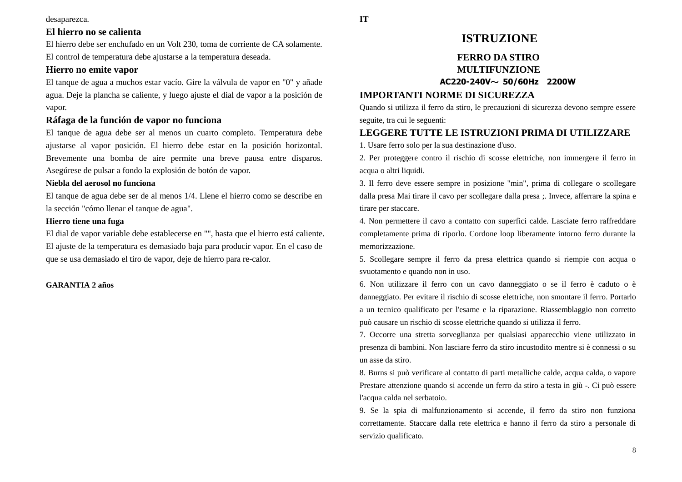### desaparezca.

## **El hierro no se calienta**

El hierro debe ser enchufado en un Volt 230, toma de corriente de CA solamente. El control de temperatura debe ajustarse a la temperatura deseada.

### **Hierro no emite vapor**

El tanque de agua a muchos estar vacío. Gire la válvula de vapor en "0" y añade agua. Deje la plancha se caliente, y luego ajuste el dial de vapor a la posición de vapor.

## **Ráfaga de la función de vapor no funciona**

El tanque de agua debe ser al menos un cuarto completo. Temperatura debe ajustarse al vapor posición. El hierro debe estar en la posición horizontal. Brevemente una bomba de aire permite una breve pausa entre disparos. Asegúrese de pulsar a fondo la explosión de botón de vapor.

### **Niebla del aerosol no funciona**

El tanque de agua debe ser de al menos 1/4. Llene el hierro como se describe en la sección "cómo llenar el tanque de agua".

### **Hierro tiene una fuga**

El dial de vapor variable debe establecerse en "", hasta que el hierro está caliente. El ajuste de la temperatura es demasiado baja para producir vapor. En el caso de que se usa demasiado el tiro de vapor, deje de hierro para re-calor.

### **GARANTIA 2 años**

# **FERRO DA STIRO MULTIFUNZIONE**

### **AC220-240V**~ **50/60Hz 2200W**

### **IMPORTANTI NORME DI SICUREZZA**

Quando si utilizza il ferro da stiro, le precauzioni di sicurezza devono sempre essere seguite, tra cui le seguenti:

## **LEGGERE TUTTE LE ISTRUZIONI PRIMA DI UTILIZZARE**

1. Usare ferro solo per la sua destinazione d'uso.

2. Per proteggere contro il rischio di scosse elettriche, non immergere il ferro in acqua o altri liquidi.

3. Il ferro deve essere sempre in posizione "min", prima di collegare o scollegare dalla presa Mai tirare il cavo per scollegare dalla presa ;. Invece, afferrare la spina e tirare per staccare.

4. Non permettere il cavo a contatto con superfici calde. Lasciate ferro raffreddare completamente prima di riporlo. Cordone loop liberamente intorno ferro durante la memorizzazione.

5. Scollegare sempre il ferro da presa elettrica quando si riempie con acqua o svuotamento e quando non in uso.

6. Non utilizzare il ferro con un cavo danneggiato o se il ferro è caduto o è danneggiato. Per evitare il rischio di scosse elettriche, non smontare il ferro. Portarlo a un tecnico qualificato per l'esame e la riparazione. Riassemblaggio non corretto può causare un rischio di scosse elettriche quando si utilizza il ferro.

7. Occorre una stretta sorveglianza per qualsiasi apparecchio viene utilizzato in presenza di bambini. Non lasciare ferro da stiro incustodito mentre si è connessi o su un asse da stiro.

8. Burns si può verificare al contatto di parti metalliche calde, acqua calda, o vapore Prestare attenzione quando si accende un ferro da stiro a testa in giù -. Ci può essere l'acqua calda nel serbatoio.

9. Se la spia di malfunzionamento si accende, il ferro da stiro non funziona correttamente. Staccare dalla rete elettrica e hanno il ferro da stiro a personale di servizio qualificato.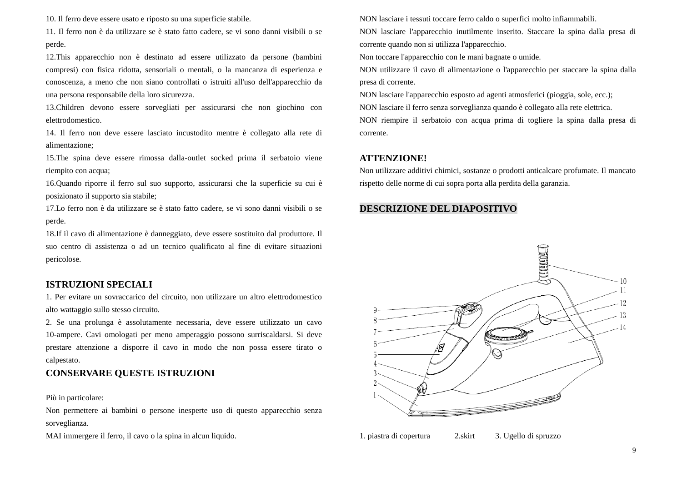10. Il ferro deve essere usato e riposto su una superficie stabile.

11. Il ferro non è da utilizzare se è stato fatto cadere, se vi sono danni visibili o se perde.

12.This apparecchio non è destinato ad essere utilizzato da persone (bambini compresi) con fisica ridotta, sensoriali o mentali, o la mancanza di esperienza e conoscenza, a meno che non siano controllati o istruiti all'uso dell'apparecchio da una persona responsabile della loro sicurezza.

13.Children devono essere sorvegliati per assicurarsi che non giochino con elettrodomestico.

14. Il ferro non deve essere lasciato incustodito mentre è collegato alla rete di alimentazione;

15.The spina deve essere rimossa dalla-outlet socked prima il serbatoio viene riempito con acqua;

16.Quando riporre il ferro sul suo supporto, assicurarsi che la superficie su cui è posizionato il supporto sia stabile;

17.Lo ferro non è da utilizzare se è stato fatto cadere, se vi sono danni visibili o se perde.

18.If il cavo di alimentazione è danneggiato, deve essere sostituito dal produttore. Il suo centro di assistenza o ad un tecnico qualificato al fine di evitare situazioni pericolose.

## **ISTRUZIONI SPECIALI**

1. Per evitare un sovraccarico del circuito, non utilizzare un altro elettrodomestico alto wattaggio sullo stesso circuito.

2. Se una prolunga è assolutamente necessaria, deve essere utilizzato un cavo 10-ampere. Cavi omologati per meno amperaggio possono surriscaldarsi. Si deve prestare attenzione a disporre il cavo in modo che non possa essere tirato o calpestato.

## **CONSERVARE QUESTE ISTRUZIONI**

Più in particolare:

Non permettere ai bambini o persone inesperte uso di questo apparecchio senza sorveglianza.

MAI immergere il ferro, il cavo o la spina in alcun liquido.

NON lasciare i tessuti toccare ferro caldo o superfici molto infiammabili.

NON lasciare l'apparecchio inutilmente inserito. Staccare la spina dalla presa di corrente quando non si utilizza l'apparecchio.

Non toccare l'apparecchio con le mani bagnate o umide.

NON utilizzare il cavo di alimentazione o l'apparecchio per staccare la spina dalla presa di corrente.

NON lasciare l'apparecchio esposto ad agenti atmosferici (pioggia, sole, ecc.); NON lasciare il ferro senza sorveglianza quando è collegato alla rete elettrica. NON riempire il serbatoio con acqua prima di togliere la spina dalla presa di corrente.

## **ATTENZIONE!**

Non utilizzare additivi chimici, sostanze o prodotti anticalcare profumate. Il mancato rispetto delle norme di cui sopra porta alla perdita della garanzia.

## **DESCRIZIONE DEL DIAPOSITIVO**



1. piastra di copertura 2.skirt 3. Ugello di spruzzo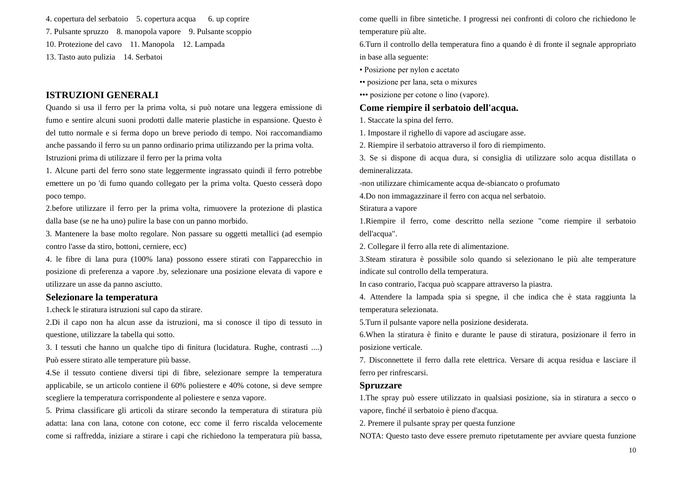4. copertura del serbatoio 5. copertura acqua 6. up coprire 7. Pulsante spruzzo 8. manopola vapore 9. Pulsante scoppio 10. Protezione del cavo 11. Manopola 12. Lampada 13. Tasto auto pulizia 14. Serbatoi

### **ISTRUZIONI GENERALI**

Quando si usa il ferro per la prima volta, si può notare una leggera emissione di fumo e sentire alcuni suoni prodotti dalle materie plastiche in espansione. Questo è del tutto normale e si ferma dopo un breve periodo di tempo. Noi raccomandiamo anche passando il ferro su un panno ordinario prima utilizzando per la prima volta. Istruzioni prima di utilizzare il ferro per la prima volta

1. Alcune parti del ferro sono state leggermente ingrassato quindi il ferro potrebbe emettere un po 'di fumo quando collegato per la prima volta. Questo cesserà dopo poco tempo.

2.before utilizzare il ferro per la prima volta, rimuovere la protezione di plastica dalla base (se ne ha uno) pulire la base con un panno morbido.

3. Mantenere la base molto regolare. Non passare su oggetti metallici (ad esempio contro l'asse da stiro, bottoni, cerniere, ecc)

4. le fibre di lana pura (100% lana) possono essere stirati con l'apparecchio in posizione di preferenza a vapore .by, selezionare una posizione elevata di vapore e utilizzare un asse da panno asciutto.

#### **Selezionare la temperatura**

1.check le stiratura istruzioni sul capo da stirare.

2.Di il capo non ha alcun asse da istruzioni, ma si conosce il tipo di tessuto in questione, utilizzare la tabella qui sotto.

3. I tessuti che hanno un qualche tipo di finitura (lucidatura. Rughe, contrasti ....) Può essere stirato alle temperature più basse.

4.Se il tessuto contiene diversi tipi di fibre, selezionare sempre la temperatura applicabile, se un articolo contiene il 60% poliestere e 40% cotone, si deve sempre scegliere la temperatura corrispondente al poliestere e senza vapore.

5. Prima classificare gli articoli da stirare secondo la temperatura di stiratura più adatta: lana con lana, cotone con cotone, ecc come il ferro riscalda velocemente come si raffredda, iniziare a stirare i capi che richiedono la temperatura più bassa,

come quelli in fibre sintetiche. I progressi nei confronti di coloro che richiedono le temperature più alte.

6.Turn il controllo della temperatura fino a quando è di fronte il segnale appropriato in base alla seguente:

• Posizione per nylon e acetato

•• posizione per lana, seta o mixures

••• posizione per cotone o lino (vapore).

#### **Come riempire il serbatoio dell'acqua.**

1. Staccate la spina del ferro.

1. Impostare il righello di vapore ad asciugare asse.

2. Riempire il serbatoio attraverso il foro di riempimento.

3. Se si dispone di acqua dura, si consiglia di utilizzare solo acqua distillata o demineralizzata.

-non utilizzare chimicamente acqua de-sbiancato o profumato

4.Do non immagazzinare il ferro con acqua nel serbatoio.

Stiratura a vapore

1.Riempire il ferro, come descritto nella sezione "come riempire il serbatoio dell'acqua".

2. Collegare il ferro alla rete di alimentazione.

3.Steam stiratura è possibile solo quando si selezionano le più alte temperature indicate sul controllo della temperatura.

In caso contrario, l'acqua può scappare attraverso la piastra.

4. Attendere la lampada spia si spegne, il che indica che è stata raggiunta la temperatura selezionata.

5.Turn il pulsante vapore nella posizione desiderata.

6.When la stiratura è finito e durante le pause di stiratura, posizionare il ferro in posizione verticale.

7. Disconnettete il ferro dalla rete elettrica. Versare di acqua residua e lasciare il ferro per rinfrescarsi.

#### **Spruzzare**

1.The spray può essere utilizzato in qualsiasi posizione, sia in stiratura a secco o vapore, finché il serbatoio è pieno d'acqua.

2. Premere il pulsante spray per questa funzione

NOTA: Questo tasto deve essere premuto ripetutamente per avviare questa funzione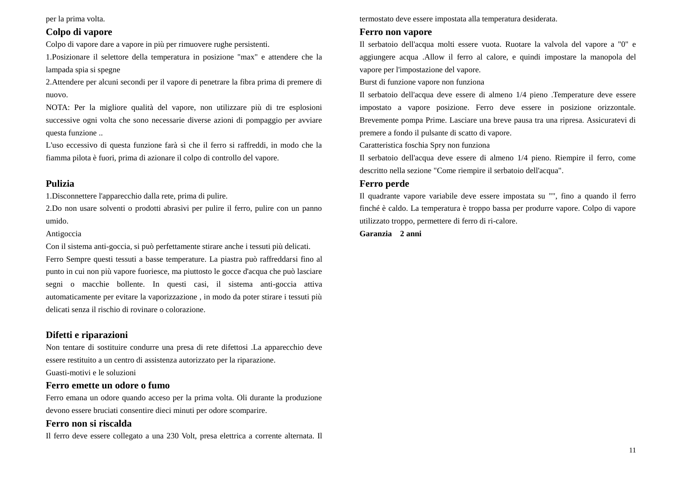per la prima volta.

### **Colpo di vapore**

Colpo di vapore dare a vapore in più per rimuovere rughe persistenti.

1.Posizionare il selettore della temperatura in posizione "max" e attendere che la lampada spia si spegne

2.Attendere per alcuni secondi per il vapore di penetrare la fibra prima di premere di nuovo.

NOTA: Per la migliore qualità del vapore, non utilizzare più di tre esplosioni successive ogni volta che sono necessarie diverse azioni di pompaggio per avviare questa funzione ..

L'uso eccessivo di questa funzione farà sì che il ferro si raffreddi, in modo che la fiamma pilota è fuori, prima di azionare il colpo di controllo del vapore.

# **Pulizia**

1.Disconnettere l'apparecchio dalla rete, prima di pulire.

2.Do non usare solventi o prodotti abrasivi per pulire il ferro, pulire con un panno umido.

### Antigoccia

Con il sistema anti-goccia, si può perfettamente stirare anche i tessuti più delicati. Ferro Sempre questi tessuti a basse temperature. La piastra può raffreddarsi fino al punto in cui non più vapore fuoriesce, ma piuttosto le gocce d'acqua che può lasciare segni o macchie bollente. In questi casi, il sistema anti-goccia attiva automaticamente per evitare la vaporizzazione , in modo da poter stirare i tessuti più delicati senza il rischio di rovinare o colorazione.

## **Difetti e riparazioni**

Non tentare di sostituire condurre una presa di rete difettosi .La apparecchio deve essere restituito a un centro di assistenza autorizzato per la riparazione.

Guasti-motivi e le soluzioni

## **Ferro emette un odore o fumo**

Ferro emana un odore quando acceso per la prima volta. Oli durante la produzione devono essere bruciati consentire dieci minuti per odore scomparire.

# **Ferro non si riscalda**

Il ferro deve essere collegato a una 230 Volt, presa elettrica a corrente alternata. Il

termostato deve essere impostata alla temperatura desiderata.

# **Ferro non vapore**

Il serbatoio dell'acqua molti essere vuota. Ruotare la valvola del vapore a "0" e aggiungere acqua .Allow il ferro al calore, e quindi impostare la manopola del vapore per l'impostazione del vapore.

Burst di funzione vapore non funziona

Il serbatoio dell'acqua deve essere di almeno 1/4 pieno .Temperature deve essere impostato a vapore posizione. Ferro deve essere in posizione orizzontale. Brevemente pompa Prime. Lasciare una breve pausa tra una ripresa. Assicuratevi di premere a fondo il pulsante di scatto di vapore.

Caratteristica foschia Spry non funziona

Il serbatoio dell'acqua deve essere di almeno 1/4 pieno. Riempire il ferro, come descritto nella sezione "Come riempire il serbatoio dell'acqua".

## **Ferro perde**

Il quadrante vapore variabile deve essere impostata su "", fino a quando il ferro finché è caldo. La temperatura è troppo bassa per produrre vapore. Colpo di vapore utilizzato troppo, permettere di ferro di ri-calore.

**Garanzia 2 anni**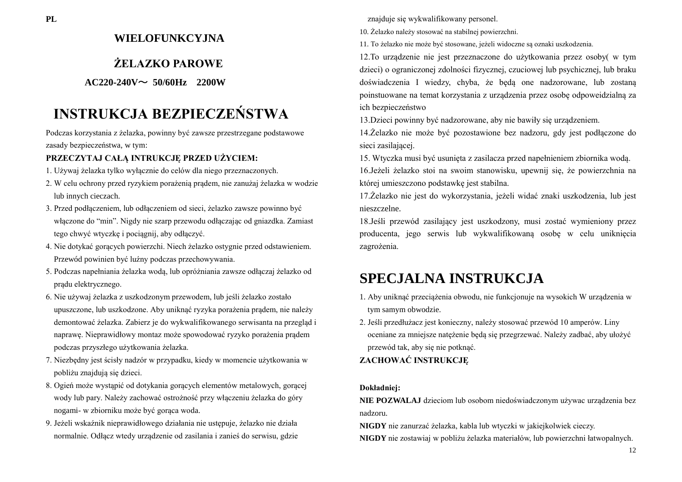# **WIELOFUNKCYJNA**

# **ŻELAZKO PAROWE**

## **AC220-240V**~ **50/60Hz 2200W**

# **INSTRUKCJA BEZPIECZEŃSTWA**

Podczas korzystania z żelazka, powinny być zawsze przestrzegane podstawowe zasady bezpieczeństwa, w tym:

## **PRZECZYTAJ CAŁĄ INTRUKCJĘ PRZED UŻYCIEM:**

- 1. Używaj żelazka tylko wyłącznie do celów dla niego przeznaczonych.
- 2. W celu ochrony przed ryzykiem porażenią prądem, nie zanużaj żelazka w wodzie lub innych cieczach.
- 3. Przed podłączeniem, lub odłączeniem od sieci, żelazko zawsze powinno być włączone do "min". Nigdy nie szarp przewodu odłączając od gniazdka. Zamiast tego chwyć wtyczkę i pociągnij, aby odłączyć.
- 4. Nie dotykać gorących powierzchi. Niech żelazko ostygnie przed odstawieniem. Przewód powinien być luźny podczas przechowywania.
- 5. Podczas napełniania żelazka wodą, lub opróżniania zawsze odłączaj żelazko od prądu elektrycznego.
- 6. Nie używaj żelazka z uszkodzonym przewodem, lub jeśli żelazko zostało upuszczone, lub uszkodzone. Aby uniknąć ryzyka porażenia prądem, nie należy demontować żelazka. Zabierz je do wykwalifikowanego serwisanta na przegląd i naprawę. Nieprawidłowy montaz może spowodować ryzyko porażenia prądem podczas przyszłego użytkowania żelazka.
- 7. Niezbędny jest ścisły nadzór w przypadku, kiedy w momencie użytkowania w pobliżu znajdują się dzieci.
- 8. Ogień może wystąpić od dotykania gorących elementów metalowych, gorącej wody lub pary. Należy zachować ostrożność przy włączeniu żelazka do góry nogami- w zbiorniku może być gorąca woda.
- 9. Jeżeli wskaźnik nieprawidłowego działania nie ustępuje, żelazko nie działa normalnie. Odłącz wtedy urządzenie od zasilania i zanieś do serwisu, gdzie

znajduje się wykwalifikowany personel.

10. Żelazko należy stosować na stabilnej powierzchni.

11. To żelazko nie może być stosowane, jeżeli widoczne są oznaki uszkodzenia.

12.To urządzenie nie jest przeznaczone do użytkowania przez osoby( w tym dzieci) o ograniczonej zdolności fizycznej, czuciowej lub psychicznej, lub braku doświadczenia I wiedzy, chyba, że będą one nadzorowane, lub zostaną poinstuowane na temat korzystania z urządzenia przez osobę odpoweidzialną za ich bezpieczeństwo

13.Dzieci powinny być nadzorowane, aby nie bawiły się urządzeniem.

14.Żelazko nie może być pozostawione bez nadzoru, gdy jest podłączone do sieci zasilającej.

15. Wtyczka musi być usunięta z zasilacza przed napełnieniem zbiornika wodą. 16.Jeżeli żelazko stoi na swoim stanowisku, upewnij się, że powierzchnia na której umieszczono podstawkę jest stabilna.

17.Żelazko nie jest do wykorzystania, jeżeli widać znaki uszkodzenia, lub jest nieszczelne.

18.Jeśli przewód zasilający jest uszkodzony, musi zostać wymieniony przez producenta, jego serwis lub wykwalifikowaną osobę w celu uniknięcia zagrożenia.

# **SPECJALNA INSTRUKCJA**

- 1. Aby uniknąć przeciążenia obwodu, nie funkcjonuje na wysokich W urządzenia w tym samym obwodzie.
- 2. Jeśli przedłużacz jest konieczny, należy stosować przewód 10 amperów. Liny oceniane za mniejsze natężenie będą się przegrzewać. Należy zadbać, aby ułożyć przewód tak, aby się nie potknąć.

**ZACHOWAĆ INSTRUKCJĘ**

### **Dokładniej:**

**NIE POZWALAJ** dzieciom lub osobom niedoświadczonym używac urządzenia bez nadzoru.

**NIGDY** nie zanurzać żelazka, kabla lub wtyczki w jakiejkolwiek cieczy.

**NIGDY** nie zostawiaj w pobliżu żelazka materiałów, lub powierzchni łatwopalnych.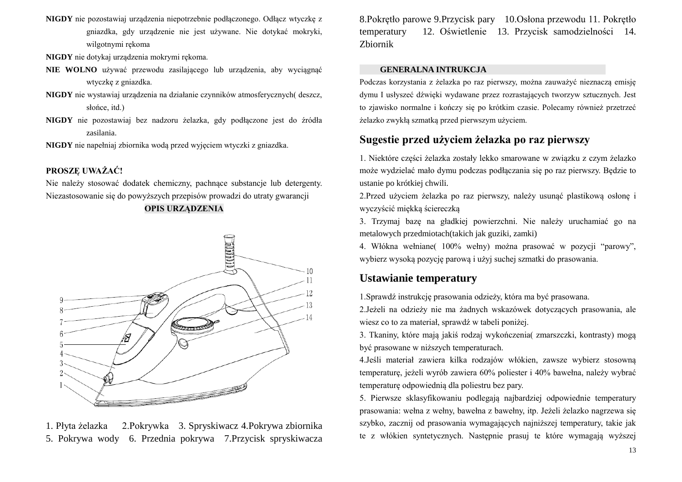- **NIGDY** nie pozostawiaj urządzenia niepotrzebnie podłączonego. Odłącz wtyczkę z gniazdka, gdy urządzenie nie jest używane. Nie dotykać mokryki, wilgotnymi rękoma
- **NIGDY** nie dotykaj urządzenia mokrymi rękoma.
- **NIE WOLNO** używać przewodu zasilającego lub urządzenia, aby wyciągnąć wtyczkę z gniazdka.
- **NIGDY** nie wystawiaj urządzenia na działanie czynników atmosferycznych( deszcz, słońce, itd.)
- **NIGDY** nie pozostawiaj bez nadzoru żelazka, gdy podłączone jest do źródła zasilania.

**NIGDY** nie napełniaj zbiornika wodą przed wyjęciem wtyczki z gniazdka.

## **PROSZĘ UWAŻAĆ!**

Nie należy stosować dodatek chemiczny, pachnące substancje lub detergenty. Niezastosowanie się do powyższych przepisów prowadzi do utraty gwarancji

### **OPIS URZĄDZENIA**



1. Płyta żelazka 2.Pokrywka 3. Spryskiwacz 4.Pokrywa zbiornika 5. Pokrywa wody 6. Przednia pokrywa 7.Przycisk spryskiwacza

8.Pokrętło parowe 9.Przycisk pary 10.Osłona przewodu 11. Pokrętło temperatury 12. Oświetlenie 13. Przycisk samodzielności 14. Zbiornik

### **GENERALNA INTRUKCJA**

Podczas korzystania z żelazka po raz pierwszy, można zauważyć nieznaczą emisję dymu I usłyszeć dźwięki wydawane przez rozrastających tworzyw sztucznych. Jest to zjawisko normalne i kończy się po krótkim czasie. Polecamy również przetrzeć żelazko zwykłą szmatką przed pierwszym użyciem.

# **Sugestie przed użyciem żelazka po raz pierwszy**

1. Niektóre części żelazka zostały lekko smarowane w związku z czym żelazko może wydzielać mało dymu podczas podłączania się po raz pierwszy. Będzie to ustanie po krótkiej chwili.

2.Przed użyciem żelazka po raz pierwszy, należy usunąć plastikową osłonę i wyczyścić miękką ściereczką

3. Trzymaj bazę na gładkiej powierzchni. Nie należy uruchamiać go na metalowych przedmiotach(takich jak guziki, zamki)

4. Włókna wełniane( 100% wełny) można prasować w pozycji "parowy", wybierz wysoką pozycję parową i użyj suchej szmatki do prasowania.

# **Ustawianie temperatury**

1.Sprawdź instrukcję prasowania odzieży, która ma być prasowana.

2.Jeżeli na odzieży nie ma żadnych wskazówek dotyczących prasowania, ale wiesz co to za materiał, sprawdź w tabeli poniżej.

3. Tkaniny, które mają jakiś rodzaj wykończenia( zmarszczki, kontrasty) mogą być prasowane w niższych temperaturach.

4.Jeśli materiał zawiera kilka rodzajów włókien, zawsze wybierz stosowną temperaturę, jeżeli wyrób zawiera 60% poliester i 40% bawełna, należy wybrać temperaturę odpowiednią dla poliestru bez pary.

5. Pierwsze sklasyfikowaniu podlegają najbardziej odpowiednie temperatury prasowania: wełna z wełny, bawełna z bawełny, itp. Jeżeli żelazko nagrzewa się szybko, zacznij od prasowania wymagających najniższej temperatury, takie jak te z włókien syntetycznych. Następnie prasuj te które wymagają wyższej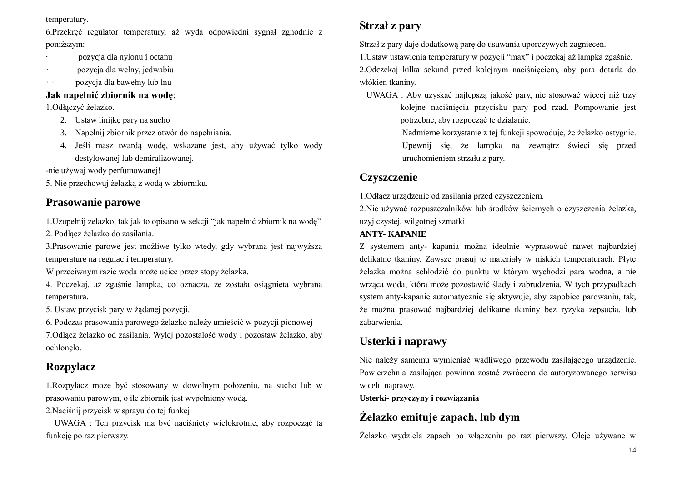### temperatury.

6.Przekręć regulator temperatury, aż wyda odpowiedni sygnał zgnodnie z poniższym:

- · pozycja dla nylonu i octanu
- ·· pozycja dla wełny, jedwabiu
- ··· pozycja dla bawełny lub lnu

# **Jak napełnić zbiornik na wodę**:

1.Odłączyć żelazko.

- 2. Ustaw linijkę pary na sucho
- 3. Napełnij zbiornik przez otwór do napełniania.
- 4. Jeśli masz twardą wodę, wskazane jest, aby używać tylko wody destylowanej lub demiralizowanej.

-nie używaj wody perfumowanej!

5. Nie przechowuj żelazką z wodą w zbiorniku.

# **Prasowanie parowe**

1.Uzupełnij żelazko, tak jak to opisano w sekcji "jak napełnić zbiornik na wodę"

2. Podłącz żelazko do zasilania.

3.Prasowanie parowe jest możliwe tylko wtedy, gdy wybrana jest najwyższa temperature na regulacji temperatury.

W przeciwnym razie woda może uciec przez stopy żelazka.

4. Poczekaj, aż zgaśnie lampka, co oznacza, że została osiągnieta wybrana temperatura.

5. Ustaw przycisk pary w żądanej pozycji.

6. Podczas prasowania parowego żelazko należy umieścić w pozycji pionowej 7.Odłącz żelazko od zasilania. Wylej pozostałość wody i pozostaw żelazko, aby ochłonęło.

# **Rozpylacz**

1.Rozpylacz może być stosowany w dowolnym położeniu, na sucho lub w prasowaniu parowym, o ile zbiornik jest wypełniony wodą.

2.Naciśnij przycisk w sprayu do tej funkcji

UWAGA : Ten przycisk ma być naciśnięty wielokrotnie, aby rozpocząć tą funkcję po raz pierwszy.

# **Strzał z pary**

Strzał z pary daje dodatkową parę do usuwania uporczywych zagnieceń.

1.Ustaw ustawienia temperatury w pozycji "max" i poczekaj aż lampka zgaśnie. 2.Odczekaj kilka sekund przed kolejnym naciśnięciem, aby para dotarła do włókien tkaniny.

UWAGA : Aby uzyskać najlepszą jakość pary, nie stosować więcej niż trzy kolejne naciśnięcia przycisku pary pod rzad. Pompowanie jest potrzebne, aby rozpocząć te działanie.

> Nadmierne korzystanie z tej funkcji spowoduje, że żelazko ostygnie. Upewnij się, że lampka na zewnątrz świeci się przed uruchomieniem strzału z pary.

# **Czyszczenie**

1.Odłącz urządzenie od zasilania przed czyszczeniem.

2.Nie używać rozpuszczalników lub środków ściernych o czyszczenia żelazka, użyj czystej, wilgotnej szmatki.

## **ANTY- KAPANIE**

Z systemem anty- kapania można idealnie wyprasować nawet najbardziej delikatne tkaniny. Zawsze prasuj te materiały w niskich temperaturach. Płytę żelazka można schłodzić do punktu w którym wychodzi para wodna, a nie wrząca woda, która może pozostawić ślady i zabrudzenia. W tych przypadkach system anty-kapanie automatycznie się aktywuje, aby zapobiec parowaniu, tak, że można prasować najbardziej delikatne tkaniny bez ryzyka zepsucia, lub zabarwienia.

# **Usterki i naprawy**

Nie należy samemu wymieniać wadliwego przewodu zasilającego urządzenie. Powierzchnia zasilająca powinna zostać zwrócona do autoryzowanego serwisu w celu naprawy.

**Usterki- przyczyny i rozwiązania**

# **Żelazko emituje zapach, lub dym**

Żelazko wydziela zapach po włączeniu po raz pierwszy. Oleje używane w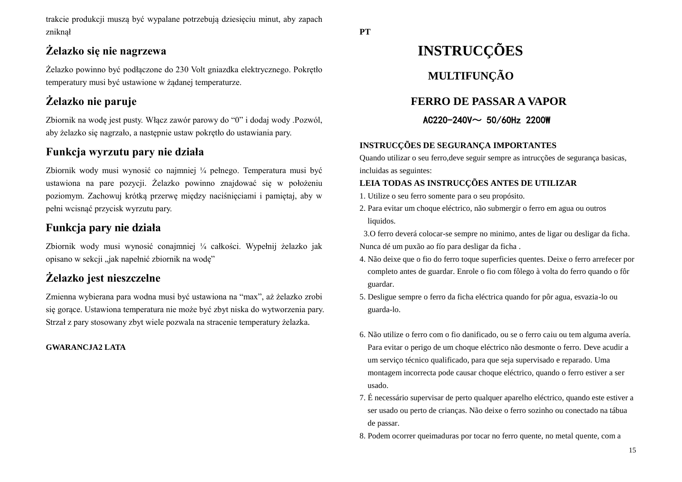trakcie produkcji muszą być wypalane potrzebują dziesięciu minut, aby zapach zniknął

# **Żelazko się nie nagrzewa**

Żelazko powinno być podłączone do 230 Volt gniazdka elektrycznego. Pokrętło temperatury musi być ustawione w żądanej temperaturze.

# **Żelazko nie paruje**

Zbiornik na wodę jest pusty. Włącz zawór parowy do "0" i dodaj wody .Pozwól, aby żelazko się nagrzało, a następnie ustaw pokrętło do ustawiania pary.

# **Funkcja wyrzutu pary nie działa**

Zbiornik wody musi wynosić co najmniej ¼ pełnego. Temperatura musi być ustawiona na pare pozycji. Żelazko powinno znajdować się w położeniu poziomym. Zachowuj krótką przerwę między naciśnięciami i pamiętaj, aby w pełni wcisnąć przycisk wyrzutu pary.

# **Funkcja pary nie działa**

Zbiornik wody musi wynosić conajmniej ¼ całkości. Wypełnij żelazko jak opisano w sekcji "jak napełnić zbiornik na wodę"

# **Żelazko jest nieszczelne**

Zmienna wybierana para wodna musi być ustawiona na "max", aż żelazko zrobi się gorące. Ustawiona temperatura nie może być zbyt niska do wytworzenia pary. Strzał z pary stosowany zbyt wiele pozwala na stracenie temperatury żelazka.

## **GWARANCJA2 LATA**

# **INSTRUCÇÕES MULTIFUNÇÃO**

# **FERRO DE PASSAR A VAPOR**

# AC220-240V~ 50/60Hz 2200W

# **INSTRUCÇÕES DE SEGURANÇA IMPORTANTES**

Quando utilizar o seu ferro,deve seguir sempre as intrucções de segurança basicas, incluidas as seguintes:

# **LEIA TODAS AS INSTRUCÇÕES ANTES DE UTILIZAR**

- 1. Utilize o seu ferro somente para o seu propósito.
- 2. Para evitar um choque eléctrico, não submergir o ferro em agua ou outros liquidos.

3.O ferro deverá colocar-se sempre no minimo, antes de ligar ou desligar da ficha. Nunca dé um puxão ao fó para desligar da ficha.

- 4. Não deixe que o fio do ferro toque superficies quentes. Deixe o ferro arrefecer por completo antes de guardar. Enrole o fio com fôlego à volta do ferro quando o fôr guardar.
- 5. Desligue sempre o ferro da ficha eléctrica quando for pôr agua, esvazia-lo ou guarda-lo.
- 6. Não utilize o ferro com o fio danificado, ou se o ferro caiu ou tem alguma avería. Para evitar o perigo de um choque el éctrico não desmonte o ferro. Deve acudir a um serviço técnico qualificado, para que seja supervisado e reparado. Uma montagem incorrecta pode causar choque eléctrico, quando o ferro estiver a ser usado.
- 7. É necessário supervisar de perto qualquer aparelho eléctrico, quando este estiver a ser usado ou perto de crianças. Não deixe o ferro sozinho ou conectado na tábua de passar.
- 8. Podem ocorrer queimaduras por tocar no ferro quente, no metal quente, com a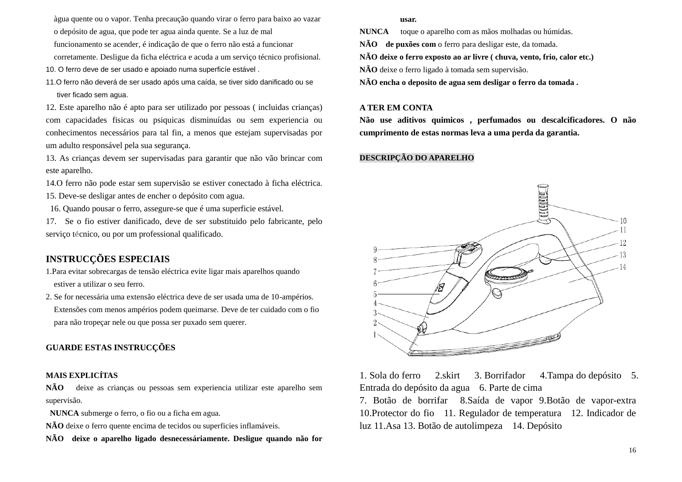àgua quente ou o vapor. Tenha precaução quando virar o ferro para baixo ao vazar o depósito de agua, que pode ter agua ainda quente. Se a luz de mal funcionamento se acender, é indicação de que o ferro não está a funcionar corretamente. Desligue da ficha el éctrica e acuda a um serviço técnico profisional. 10. O ferro deve de ser usado e apoiado numa superficíe estável .

11.O ferro não deverá de ser usado após uma caída, se tiver sido danificado ou se tiver ficado sem agua.

12. Este aparelho não é apto para ser utilizado por pessoas ( incluidas crianças) com capacidades fisicas ou psiquicas disminuídas ou sem experiencia ou conhecimentos necessários para tal fin, a menos que estejam supervisadas por um adulto responsável pela sua segurança.

13. As crianças devem ser supervisadas para garantir que não vão brincar com este aparelho.

14.O ferro não pode estar sem supervisão se estiver conectado à ficha eléctrica. 15. Deve-se desligar antes de encher o depósito com agua.

16. Quando pousar o ferro, assegure-se que é uma superficie estável.

17. Se o fio estiver danificado, deve de ser substituido pelo fabricante, pelo  $s$ ervi $\infty$  técnico, ou por um professional qualificado.

# **INSTRUCÇÕES ESPECIAIS**

1.Para evitar sobrecargas de tensão eléctrica evite ligar mais aparelhos quando estiver a utilizar o seu ferro.

2. Se for necessária uma extensão eléctrica deve de ser usada uma de 10-ampérios. Extensões com menos ampérios podem queimarse. Deve de ter cuidado com o fio para não tropeçar nele ou que possa ser puxado sem querer.

## **GUARDE ESTAS INSTRUCÇÕES**

## **MAIS EXPLICÍTAS**

**NÃO** deixe as crianças ou pessoas sem experiencia utilizar este aparelho sem supervisão.

**NUNCA** submerge o ferro, o fio ou a ficha em agua.

**NÃO** deixe o ferro quente encima de tecidos ou superficies inflamáveis.

**NÃO deixe o aparelho ligado desnecessáriamente. Desligue quando não for** 

**usar.**

**NUNCA** toque o aparelho com as mãos molhadas ou húmidas.

**NÃO de puxões com** o ferro para desligar este, da tomada.

**NÃO deixe o ferro exposto ao ar livre ( chuva, vento, frio, calor etc.)**

**NÃO** deixe o ferro ligado à tomada sem supervisão.

**NÃO encha o deposito de agua sem desligar o ferro da tomada .**

## **A TER EM CONTA**

**Não use aditivos quimicos , perfumados ou descalcificadores. O não cumprimento de estas normas leva a uma perda da garantia.**

## **DESCRIPÇÃO DO APARELHO**



1. Sola do ferro 2.skirt 3. Borrifador 4.Tampa do depósito 5. Entrada do depósito da agua 6. Parte de cima

7. Botão de borrifar 8.Saída de vapor 9.Botão de vapor-extra 10.Protector do fio 11. Regulador de temperatura 12. Indicador de luz 11.Asa 13. Botão de autolimpeza 14. Depósito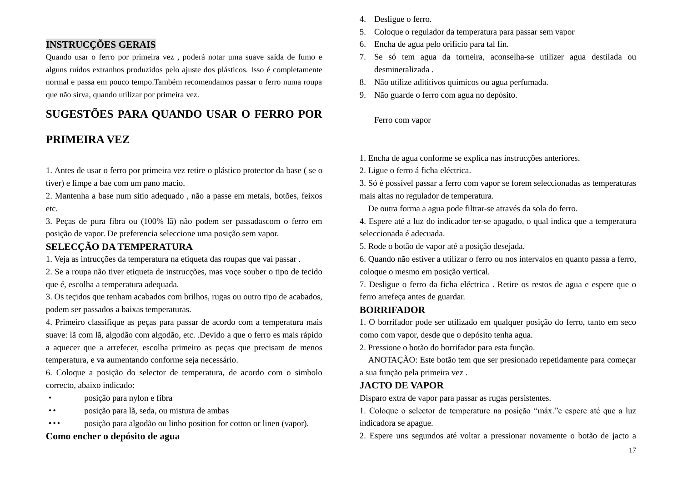## **INSTRUCÇÕES GERAIS**

Quando usar o ferro por primeira vez , poderá notar uma suave saída de fumo e alguns ruídos extranhos produzidos pelo ajuste dos plásticos. Isso é completamente normal e passa em pouco tempo.Também recomendamos passar o ferro numa roupa que não sirva, quando utilizar por primeira vez.

# **SUGESTÕES PARA QUANDO USAR O FERRO POR**

# **PRIMEIRA VEZ**

1. Antes de usar o ferro por primeira vez retire o plástico protector da base ( se o tiver) e limpe a bae com um pano macio.

2. Mantenha a base num sitio adequado , não a passe em metais, botões, feixos etc.

3. Peças de pura fibra ou (100% lã) não podem ser passadascom o ferro em posição de vapor. De preferencia seleccione uma posição sem vapor.

# **SELECÇÃO DA TEMPERATURA**

1. Veja as intrucções da temperatura na etiqueta das roupas que vai passar .

2. Se a roupa não tiver etiqueta de instrucções, mas voçe souber o tipo de tecido que é, escolha a temperatura adequada.

3. Os te codos que tenham acabados com brilhos, rugas ou outro tipo de acabados, podem ser passados a baixas temperaturas.

4. Primeiro classifique as peças para passar de acordo com a temperatura mais suave: lã com lã, algodão com algodão, etc. .Devido a que o ferro es mais rápido a aquecer que a arrefecer, escolha primeiro as peças que precisam de menos temperatura, e va aumentando conforme seja necessário.

6. Coloque a posição do selector de temperatura, de acordo com o simbolo correcto, abaixo indicado:

- · posição para nylon e fibra
- ·· posição para lã, seda, ou mistura de ambas
- ··· posição para algodão ou linho position for cotton or linen (vapor).

### **Como encher o depósito de agua**

- 4. Desligue o ferro.
- 5. Coloque o regulador da temperatura para passar sem vapor
- 6. Encha de agua pelo orificio para tal fin.
- 7. Se só tem agua da torneira, aconselha-se utilizer agua destilada ou desmineralizada .
- 8. Não utilize adititivos quimicos ou agua perfumada.
- 9. Não guarde o ferro com agua no depósito.

Ferro com vapor

1. Encha de agua conforme se explica nas instrucções anteriores.

2. Ligue o ferro á ficha eléctrica.

3. Só époss ível passar a ferro com vapor se forem seleccionadas as temperaturas mais altas no regulador de temperatura.

De outra forma a agua pode filtrar-se através da sola do ferro.

4. Espere até a luz do indicador ter-se apagado, o qual indica que a temperatura seleccionada é adecuada.

5. Rode o botão de vapor até a posição desejada.

6. Quando não estiver a utilizar o ferro ou nos intervalos en quanto passa a ferro, coloque o mesmo em posição vertical.

7. Desligue o ferro da ficha eléctrica . Retire os restos de agua e espere que o ferro arrefeça antes de guardar.

### **BORRIFADOR**

1. O borrifador pode ser utilizado em qualquer posição do ferro, tanto em seco como com vapor, desde que o depósito tenha agua.

2. Pressione o botão do borrifador para esta função.

ANOTAÇÃO: Este botão tem que ser presionado repetidamente para começar a sua função pela primeira vez .

### **JACTO DE VAPOR**

Disparo extra de vapor para passar as rugas persistentes.

1. Coloque o selector de temperature na posição "máx."e espere até que a luz indicadora se apague.

2. Espere uns segundos até voltar a pressionar novamente o botão de jacto a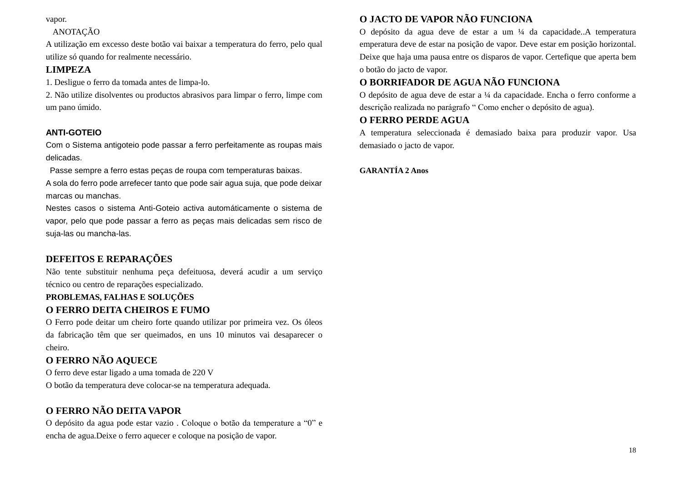vapor.

# ANOTAÇÃO

A utilização em excesso deste botão vai baixar a temperatura do ferro, pelo qual utilize só quando for realmente necessário.

# **LIMPEZA**

1. Desligue o ferro da tomada antes de limpa-lo.

2. Não utilize disolventes ou productos abrasivos para limpar o ferro, limpe com um pano úmido.

# **ANTI-GOTEIO**

Com o Sistema antigoteio pode passar a ferro perfeitamente as roupas mais delicadas.

Passe sempre a ferro estas peças de roupa com temperaturas baixas.

A sola do ferro pode arrefecer tanto que pode sair agua suja, que pode deixar marcas ou manchas.

Nestes casos o sistema Anti-Goteio activa automáticamente o sistema de vapor, pelo que pode passar a ferro as peças mais delicadas sem risco de suja-las ou mancha-las.

# **DEFEITOS E REPARAÇÕES**

Não tente substituir nenhuma peça defeituosa, deverá acudir a um serviço técnico ou centro de reparações especializado.

# **PROBLEMAS, FALHAS E SOLUÇÕES**

# **O FERRO DEITA CHEIROS E FUMO**

O Ferro pode deitar um cheiro forte quando utilizar por primeira vez. Os óleos da fabricação têm que ser queimados, en uns 10 minutos vai desaparecer o cheiro.

# **O FERRO NÃO AQUECE**

O ferro deve estar ligado a uma tomada de 220 V O botão da temperatura deve colocar-se na temperatura adequada.

# **O FERRO NÃO DEITA VAPOR**

O depósito da agua pode estar vazio . Coloque o botão da temperature a "0" e encha de agua.Deixe o ferro aquecer e coloque na posição de vapor.

# **O JACTO DE VAPOR NÃO FUNCIONA**

O depósito da agua deve de estar a um ¼ da capacidade..A temperatura emperatura deve de estar na posição de vapor. Deve estar em posição horizontal. Deixe que haja uma pausa entre os disparos de vapor. Certefique que aperta bem o botão do jacto de vapor.

# **O BORRIFADOR DE AGUA NÃO FUNCIONA**

O depósito de agua deve de estar a ¼ da capacidade. Encha o ferro conforme a descrição realizada no parágrafo " Como encher o depósito de agua).

# **O FERRO PERDE AGUA**

A temperatura seleccionada é demasiado baixa para produzir vapor. Usa demasiado o jacto de vapor.

# **GARANTÍA 2 Anos**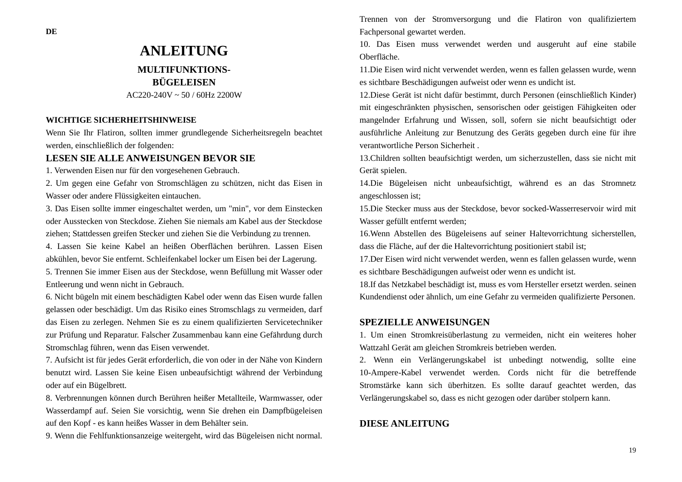# **ANLEITUNG MULTIFUNKTIONS-BÜGELEISEN**

 $AC220-240V \approx 50 / 60Hz$  2200W

### **WICHTIGE SICHERHEITSHINWEISE**

Wenn Sie Ihr Flatiron, sollten immer grundlegende Sicherheitsregeln beachtet werden, einschließlich der folgenden:

## **LESEN SIE ALLE ANWEISUNGEN BEVOR SIE**

1. Verwenden Eisen nur für den vorgesehenen Gebrauch.

2. Um gegen eine Gefahr von Stromschlägen zu schützen, nicht das Eisen in Wasser oder andere Flüssigkeiten eintauchen.

3. Das Eisen sollte immer eingeschaltet werden, um "min", vor dem Einstecken oder Ausstecken von Steckdose. Ziehen Sie niemals am Kabel aus der Steckdose ziehen; Stattdessen greifen Stecker und ziehen Sie die Verbindung zu trennen.

4. Lassen Sie keine Kabel an heißen Oberflächen berühren. Lassen Eisen abkühlen, bevor Sie entfernt. Schleifenkabel locker um Eisen bei der Lagerung.

5. Trennen Sie immer Eisen aus der Steckdose, wenn Befüllung mit Wasser oder Entleerung und wenn nicht in Gebrauch.

6. Nicht bügeln mit einem beschädigten Kabel oder wenn das Eisen wurde fallen gelassen oder beschädigt. Um das Risiko eines Stromschlags zu vermeiden, darf das Eisen zu zerlegen. Nehmen Sie es zu einem qualifizierten Servicetechniker zur Prüfung und Reparatur. Falscher Zusammenbau kann eine Gefährdung durch Stromschlag führen, wenn das Eisen verwendet.

7. Aufsicht ist für jedes Gerät erforderlich, die von oder in der Nähe von Kindern benutzt wird. Lassen Sie keine Eisen unbeaufsichtigt während der Verbindung oder auf ein Bügelbrett.

8. Verbrennungen können durch Berühren heißer Metallteile, Warmwasser, oder Wasserdampf auf. Seien Sie vorsichtig, wenn Sie drehen ein Dampfbügeleisen auf den Kopf - es kann heißes Wasser in dem Behälter sein.

9. Wenn die Fehlfunktionsanzeige weitergeht, wird das Bügeleisen nicht normal.

Trennen von der Stromversorgung und die Flatiron von qualifiziertem Fachpersonal gewartet werden.

10. Das Eisen muss verwendet werden und ausgeruht auf eine stabile Oberfläche.

11.Die Eisen wird nicht verwendet werden, wenn es fallen gelassen wurde, wenn es sichtbare Beschädigungen aufweist oder wenn es undicht ist.

12.Diese Gerät ist nicht dafür bestimmt, durch Personen (einschließlich Kinder) mit eingeschränkten physischen, sensorischen oder geistigen Fähigkeiten oder mangelnder Erfahrung und Wissen, soll, sofern sie nicht beaufsichtigt oder ausführliche Anleitung zur Benutzung des Geräts gegeben durch eine für ihre verantwortliche Person Sicherheit .

13.Children sollten beaufsichtigt werden, um sicherzustellen, dass sie nicht mit Gerät spielen.

14.Die Bügeleisen nicht unbeaufsichtigt, während es an das Stromnetz angeschlossen ist;

15.Die Stecker muss aus der Steckdose, bevor socked-Wasserreservoir wird mit Wasser gefüllt entfernt werden;

16.Wenn Abstellen des Bügeleisens auf seiner Haltevorrichtung sicherstellen, dass die Fläche, auf der die Haltevorrichtung positioniert stabil ist;

17.Der Eisen wird nicht verwendet werden, wenn es fallen gelassen wurde, wenn es sichtbare Beschädigungen aufweist oder wenn es undicht ist.

18.If das Netzkabel beschädigt ist, muss es vom Hersteller ersetzt werden. seinen Kundendienst oder ähnlich, um eine Gefahr zu vermeiden qualifizierte Personen.

### **SPEZIELLE ANWEISUNGEN**

1. Um einen Stromkreisüberlastung zu vermeiden, nicht ein weiteres hoher Wattzahl Gerät am gleichen Stromkreis betrieben werden.

2. Wenn ein Verlängerungskabel ist unbedingt notwendig, sollte eine 10-Ampere-Kabel verwendet werden. Cords nicht für die betreffende Stromstärke kann sich überhitzen. Es sollte darauf geachtet werden, das Verlängerungskabel so, dass es nicht gezogen oder darüber stolpern kann.

### **DIESE ANLEITUNG**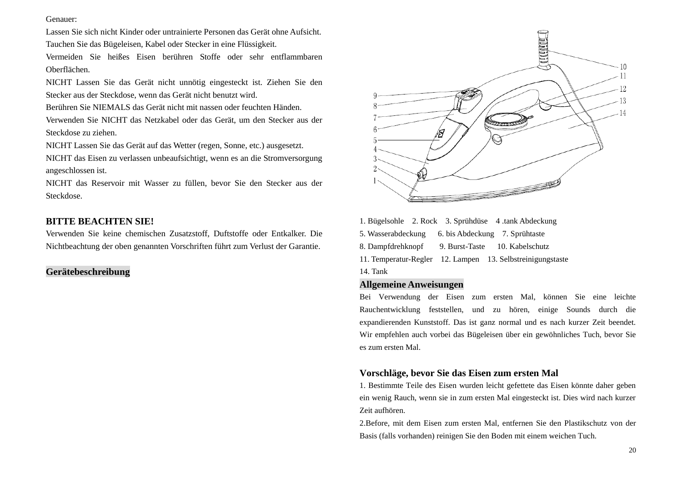### Genauer:

Lassen Sie sich nicht Kinder oder untrainierte Personen das Gerät ohne Aufsicht. Tauchen Sie das Bügeleisen, Kabel oder Stecker in eine Flüssigkeit.

Vermeiden Sie heißes Eisen berühren Stoffe oder sehr entflammbaren Oberflächen.

NICHT Lassen Sie das Gerät nicht unnötig eingesteckt ist. Ziehen Sie den Stecker aus der Steckdose, wenn das Gerät nicht benutzt wird.

Berühren Sie NIEMALS das Gerät nicht mit nassen oder feuchten Händen.

Verwenden Sie NICHT das Netzkabel oder das Gerät, um den Stecker aus der Steckdose zu ziehen.

NICHT Lassen Sie das Gerät auf das Wetter (regen, Sonne, etc.) ausgesetzt.

NICHT das Eisen zu verlassen unbeaufsichtigt, wenn es an die Stromversorgung angeschlossen ist.

NICHT das Reservoir mit Wasser zu füllen, bevor Sie den Stecker aus der Steckdose.

## **BITTE BEACHTEN SIE!**

Verwenden Sie keine chemischen Zusatzstoff, Duftstoffe oder Entkalker. Die Nichtbeachtung der oben genannten Vorschriften führt zum Verlust der Garantie.

### **Gerätebeschreibung**



1. Bügelsohle 2. Rock 3. Sprühdüse 4 .tank Abdeckung 5. Wasserabdeckung 6. bis Abdeckung 7. Sprühtaste 8. Dampfdrehknopf 9. Burst-Taste 10. Kabelschutz 11. Temperatur-Regler 12. Lampen 13. Selbstreinigungstaste 14. Tank

### **Allgemeine Anweisungen**

Bei Verwendung der Eisen zum ersten Mal, können Sie eine leichte Rauchentwicklung feststellen, und zu hören, einige Sounds durch die expandierenden Kunststoff. Das ist ganz normal und es nach kurzer Zeit beendet. Wir empfehlen auch vorbei das Bügeleisen über ein gewöhnliches Tuch, bevor Sie es zum ersten Mal.

### **Vorschläge, bevor Sie das Eisen zum ersten Mal**

1. Bestimmte Teile des Eisen wurden leicht gefettete das Eisen könnte daher geben ein wenig Rauch, wenn sie in zum ersten Mal eingesteckt ist. Dies wird nach kurzer Zeit aufhören.

2.Before, mit dem Eisen zum ersten Mal, entfernen Sie den Plastikschutz von der Basis (falls vorhanden) reinigen Sie den Boden mit einem weichen Tuch.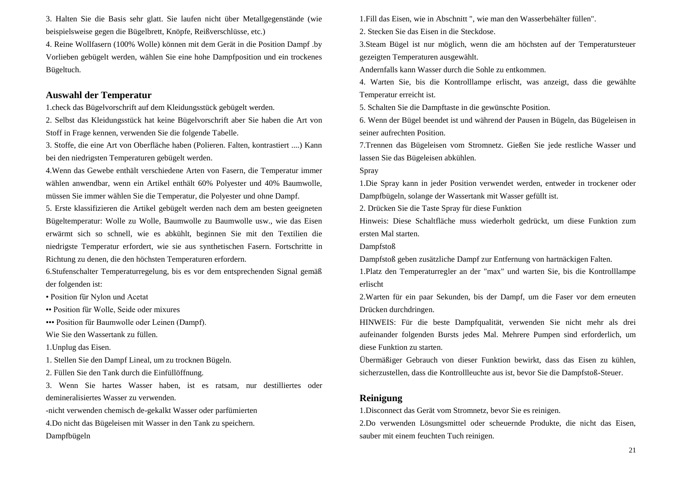3. Halten Sie die Basis sehr glatt. Sie laufen nicht über Metallgegenstände (wie beispielsweise gegen die Bügelbrett, Knöpfe, Reißverschlüsse, etc.)

4. Reine Wollfasern (100% Wolle) können mit dem Gerät in die Position Dampf .by Vorlieben gebügelt werden, wählen Sie eine hohe Dampfposition und ein trockenes Bügeltuch.

### **Auswahl der Temperatur**

1.check das Bügelvorschrift auf dem Kleidungsstück gebügelt werden.

2. Selbst das Kleidungsstück hat keine Bügelvorschrift aber Sie haben die Art von Stoff in Frage kennen, verwenden Sie die folgende Tabelle.

3. Stoffe, die eine Art von Oberfläche haben (Polieren. Falten, kontrastiert ....) Kann bei den niedrigsten Temperaturen gebügelt werden.

4.Wenn das Gewebe enthält verschiedene Arten von Fasern, die Temperatur immer wählen anwendbar, wenn ein Artikel enthält 60% Polyester und 40% Baumwolle, müssen Sie immer wählen Sie die Temperatur, die Polyester und ohne Dampf.

5. Erste klassifizieren die Artikel gebügelt werden nach dem am besten geeigneten Bügeltemperatur: Wolle zu Wolle, Baumwolle zu Baumwolle usw., wie das Eisen erwärmt sich so schnell, wie es abkühlt, beginnen Sie mit den Textilien die niedrigste Temperatur erfordert, wie sie aus synthetischen Fasern. Fortschritte in Richtung zu denen, die den höchsten Temperaturen erfordern.

6.Stufenschalter Temperaturregelung, bis es vor dem entsprechenden Signal gemäß der folgenden ist:

• Position für Nylon und Acetat

•• Position für Wolle, Seide oder mixures

••• Position für Baumwolle oder Leinen (Dampf).

Wie Sie den Wassertank zu füllen.

1.Unplug das Eisen.

1. Stellen Sie den Dampf Lineal, um zu trocknen Bügeln.

2. Füllen Sie den Tank durch die Einfüllöffnung.

3. Wenn Sie hartes Wasser haben, ist es ratsam, nur destilliertes oder demineralisiertes Wasser zu verwenden.

-nicht verwenden chemisch de-gekalkt Wasser oder parfümierten

4.Do nicht das Bügeleisen mit Wasser in den Tank zu speichern.

Dampfbügeln

1.Fill das Eisen, wie in Abschnitt ", wie man den Wasserbehälter füllen".

2. Stecken Sie das Eisen in die Steckdose.

3.Steam Bügel ist nur möglich, wenn die am höchsten auf der Temperatursteuer gezeigten Temperaturen ausgewählt.

Andernfalls kann Wasser durch die Sohle zu entkommen.

4. Warten Sie, bis die Kontrolllampe erlischt, was anzeigt, dass die gewählte Temperatur erreicht ist.

5. Schalten Sie die Dampftaste in die gewünschte Position.

6. Wenn der Bügel beendet ist und während der Pausen in Bügeln, das Bügeleisen in seiner aufrechten Position.

7.Trennen das Bügeleisen vom Stromnetz. Gießen Sie jede restliche Wasser und lassen Sie das Bügeleisen abkühlen.

Spray

1.Die Spray kann in jeder Position verwendet werden, entweder in trockener oder Dampfbügeln, solange der Wassertank mit Wasser gefüllt ist.

2. Drücken Sie die Taste Spray für diese Funktion

Hinweis: Diese Schaltfläche muss wiederholt gedrückt, um diese Funktion zum ersten Mal starten.

Dampfstoß

Dampfstoß geben zusätzliche Dampf zur Entfernung von hartnäckigen Falten.

1.Platz den Temperaturregler an der "max" und warten Sie, bis die Kontrolllampe erlischt

2.Warten für ein paar Sekunden, bis der Dampf, um die Faser vor dem erneuten Drücken durchdringen.

HINWEIS: Für die beste Dampfqualität, verwenden Sie nicht mehr als drei aufeinander folgenden Bursts jedes Mal. Mehrere Pumpen sind erforderlich, um diese Funktion zu starten.

Übermäßiger Gebrauch von dieser Funktion bewirkt, dass das Eisen zu kühlen, sicherzustellen, dass die Kontrollleuchte aus ist, bevor Sie die Dampfstoß-Steuer.

### **Reinigung**

1.Disconnect das Gerät vom Stromnetz, bevor Sie es reinigen.

2.Do verwenden Lösungsmittel oder scheuernde Produkte, die nicht das Eisen, sauber mit einem feuchten Tuch reinigen.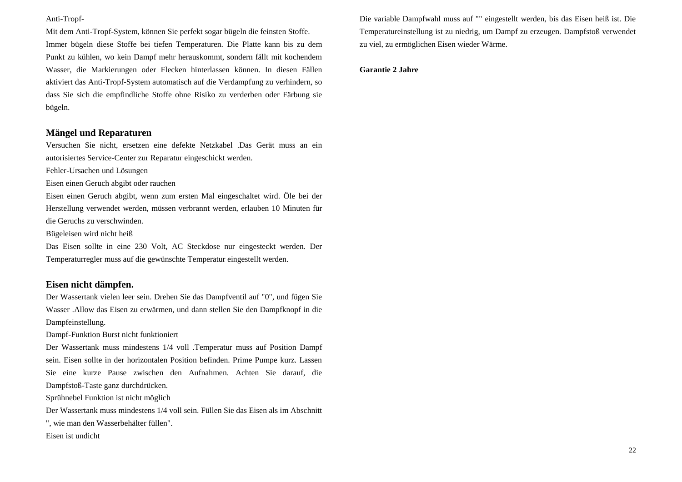#### Anti-Tropf-

Mit dem Anti-Tropf-System, können Sie perfekt sogar bügeln die feinsten Stoffe. Immer bügeln diese Stoffe bei tiefen Temperaturen. Die Platte kann bis zu dem Punkt zu kühlen, wo kein Dampf mehr herauskommt, sondern fällt mit kochendem Wasser, die Markierungen oder Flecken hinterlassen können. In diesen Fällen aktiviert das Anti-Tropf-System automatisch auf die Verdampfung zu verhindern, so dass Sie sich die empfindliche Stoffe ohne Risiko zu verderben oder Färbung sie bügeln.

### **Mängel und Reparaturen**

Versuchen Sie nicht, ersetzen eine defekte Netzkabel .Das Gerät muss an ein autorisiertes Service-Center zur Reparatur eingeschickt werden.

Fehler-Ursachen und Lösungen

Eisen einen Geruch abgibt oder rauchen

Eisen einen Geruch abgibt, wenn zum ersten Mal eingeschaltet wird. Öle bei der Herstellung verwendet werden, müssen verbrannt werden, erlauben 10 Minuten für die Geruchs zu verschwinden.

Bügeleisen wird nicht heiß

Das Eisen sollte in eine 230 Volt, AC Steckdose nur eingesteckt werden. Der Temperaturregler muss auf die gewünschte Temperatur eingestellt werden.

### **Eisen nicht dämpfen.**

Der Wassertank vielen leer sein. Drehen Sie das Dampfventil auf "0", und fügen Sie Wasser .Allow das Eisen zu erwärmen, und dann stellen Sie den Dampfknopf in die Dampfeinstellung.

Dampf-Funktion Burst nicht funktioniert

Der Wassertank muss mindestens 1/4 voll .Temperatur muss auf Position Dampf sein. Eisen sollte in der horizontalen Position befinden. Prime Pumpe kurz. Lassen Sie eine kurze Pause zwischen den Aufnahmen. Achten Sie darauf, die Dampfstoß-Taste ganz durchdrücken.

Sprühnebel Funktion ist nicht möglich

Der Wassertank muss mindestens 1/4 voll sein. Füllen Sie das Eisen als im Abschnitt

", wie man den Wasserbehälter füllen".

Eisen ist undicht

Die variable Dampfwahl muss auf "" eingestellt werden, bis das Eisen heiß ist. Die Temperatureinstellung ist zu niedrig, um Dampf zu erzeugen. Dampfstoß verwendet zu viel, zu ermöglichen Eisen wieder Wärme.

#### **Garantie 2 Jahre**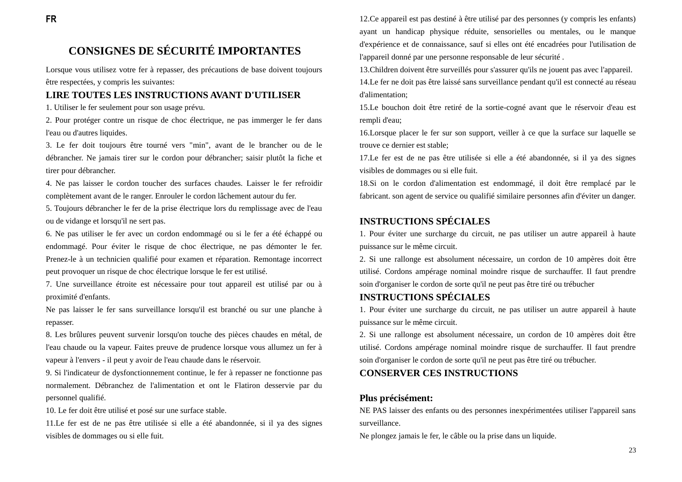# **CONSIGNES DE SÉCURITÉ IMPORTANTES**

Lorsque vous utilisez votre fer à repasser, des précautions de base doivent toujours être respectées, y compris les suivantes:

### **LIRE TOUTES LES INSTRUCTIONS AVANT D'UTILISER**

1. Utiliser le fer seulement pour son usage prévu.

2. Pour protéger contre un risque de choc électrique, ne pas immerger le fer dans l'eau ou d'autres liquides.

3. Le fer doit toujours être tourné vers "min", avant de le brancher ou de le débrancher. Ne jamais tirer sur le cordon pour débrancher; saisir plut $\hat{\alpha}$  la fiche et tirer pour débrancher.

4. Ne pas laisser le cordon toucher des surfaces chaudes. Laisser le fer refroidir complètement avant de le ranger. Enrouler le cordon lâchement autour du fer.

5. Toujours débrancher le fer de la prise électrique lors du remplissage avec de l'eau ou de vidange et lorsqu'il ne sert pas.

6. Ne pas utiliser le fer avec un cordon endommagé ou si le fer a été échappé ou endommagé. Pour éviter le risque de choc électrique, ne pas démonter le fer. Prenez-le à un technicien qualifié pour examen et réparation. Remontage incorrect peut provoquer un risque de choc électrique lorsque le fer est utilisé.

7. Une surveillance étroite est nécessaire pour tout appareil est utilisé par ou à proximité d'enfants.

Ne pas laisser le fer sans surveillance lorsqu'il est branché ou sur une planche à repasser.

8. Les brûlures peuvent survenir lorsqu'on touche des pièces chaudes en métal, de l'eau chaude ou la vapeur. Faites preuve de prudence lorsque vous allumez un fer à vapeur à l'envers - il peut y avoir de l'eau chaude dans le réservoir.

9. Si l'indicateur de dysfonctionnement continue, le fer à repasser ne fonctionne pas normalement. Débranchez de l'alimentation et ont le Flatiron desservie par du personnel qualifié.

10. Le fer doit être utilisé et posé sur une surface stable.

11. Le fer est de ne pas être utilisée si elle a été abandonnée, si il ya des signes visibles de dommages ou si elle fuit.

12.Ce appareil est pas destiné à être utilisé par des personnes (y compris les enfants) ayant un handicap physique réduite, sensorielles ou mentales, ou le manque d'expérience et de connaissance, sauf si elles ont été encadrées pour l'utilisation de l'appareil donné par une personne responsable de leur sécurité .

13.Children doivent être surveillés pour s'assurer qu'ils ne jouent pas avec l'appareil.

14.Le fer ne doit pas être laissé sans surveillance pendant qu'il est connecté au réseau d'alimentation;

15.Le bouchon doit être retiré de la sortie-cogné avant que le réservoir d'eau est rempli d'eau;

16.Lorsque placer le fer sur son support, veiller à ce que la surface sur laquelle se trouve ce dernier est stable;

17. Le fer est de ne pas être utilisée si elle a été abandonnée, si il ya des signes visibles de dommages ou si elle fuit.

18.Si on le cordon d'alimentation est endommagé, il doit être remplacé par le fabricant. son agent de service ou qualifié similaire personnes afin d'éviter un danger.

# **INSTRUCTIONS SPÉCIALES**

1. Pour éviter une surcharge du circuit, ne pas utiliser un autre appareil à haute puissance sur le même circuit.

2. Si une rallonge est absolument nécessaire, un cordon de 10 ampères doit être utilisé. Cordons ampérage nominal moindre risque de surchauffer. Il faut prendre soin d'organiser le cordon de sorte qu'il ne peut pas être tiré ou trébucher

### **INSTRUCTIONS SPÉCIALES**

1. Pour éviter une surcharge du circuit, ne pas utiliser un autre appareil à haute puissance sur le même circuit.

2. Si une rallonge est absolument nécessaire, un cordon de 10 ampères doit être utilisé. Cordons ampérage nominal moindre risque de surchauffer. Il faut prendre soin d'organiser le cordon de sorte qu'il ne peut pas être tiré ou trébucher.

### **CONSERVER CES INSTRUCTIONS**

### Plus précisément:

NE PAS laisser des enfants ou des personnes inexpérimentées utiliser l'appareil sans surveillance.

Ne plongez jamais le fer, le câble ou la prise dans un liquide.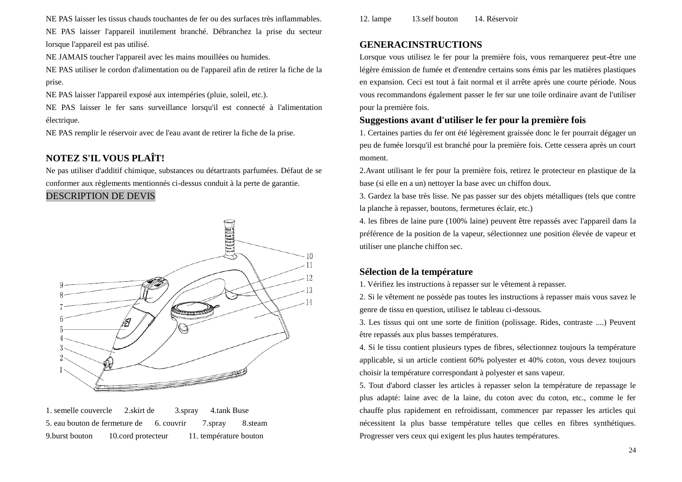NE PAS laisser les tissus chauds touchantes de fer ou des surfaces très inflammables.

NE PAS laisser l'appareil inutilement branché. Débranchez la prise du secteur lorsque l'appareil est pas utilisé.

NE JAMAIS toucher l'appareil avec les mains mouillées ou humides.

NE PAS utiliser le cordon d'alimentation ou de l'appareil afin de retirer la fiche de la prise.

NE PAS laisser l'appareil exposé aux intempéries (pluie, soleil, etc.).

NE PAS laisser le fer sans surveillance lorsqu'il est connecté à l'alimentation dectrique.

NE PAS remplir le réservoir avec de l'eau avant de retirer la fiche de la prise.

# **NOTEZ S'IL VOUS PLAÎT!**

Ne pas utiliser d'additif chimique, substances ou détartrants parfumées. Défaut de se conformer aux règlements mentionnés ci-dessus conduit à la perte de garantie.

### DESCRIPTION DE DEVIS



1. semelle couvercle 2.skirt de 3.spray 4.tank Buse 5. eau bouton de fermeture de 6. couvrir 7.spray 8.steam 9.burst bouton 10.cord protecteur 11. température bouton

12. lampe 13.self bouton 14. Réservoir

## **GENERACINSTRUCTIONS**

Lorsque vous utilisez le fer pour la première fois, vous remarquerez peut-être une légère émission de fumée et d'entendre certains sons émis par les matières plastiques en expansion. Ceci est tout à fait normal et il arrête après une courte période. Nous vous recommandons également passer le fer sur une toile ordinaire avant de l'utiliser pour la première fois.

## **Suggestions avant d'utiliser le fer pour la première fois**

1. Certaines parties du fer ont été légèrement graissée donc le fer pourrait dégager un peu de fumée lorsqu'il est branché pour la première fois. Cette cessera après un court moment.

2.Avant utilisant le fer pour la première fois, retirez le protecteur en plastique de la base (si elle en a un) nettoyer la base avec un chiffon doux.

3. Gardez la base très lisse. Ne pas passer sur des objets métalliques (tels que contre la planche à repasser, boutons, fermetures éclair, etc.)

4. les fibres de laine pure (100% laine) peuvent être repassés avec l'appareil dans la préférence de la position de la vapeur, sélectionnez une position élevée de vapeur et utiliser une planche chiffon sec.

## **Sélection de la température**

1. Vérifiez les instructions à repasser sur le vêtement à repasser.

2. Si le vêtement ne possède pas toutes les instructions à repasser mais vous savez le genre de tissu en question, utilisez le tableau ci-dessous.

3. Les tissus qui ont une sorte de finition (polissage. Rides, contraste ....) Peuvent être repassés aux plus basses températures.

4. Si le tissu contient plusieurs types de fibres, sélectionnez toujours la température applicable, si un article contient 60% polyester et 40% coton, vous devez toujours choisir la température correspondant à polyester et sans vapeur.

5. Tout d'abord classer les articles à repasser selon la température de repassage le plus adapté: laine avec de la laine, du coton avec du coton, etc., comme le fer chauffe plus rapidement en refroidissant, commencer par repasser les articles qui nécessitent la plus basse température telles que celles en fibres synthétiques. Progresser vers ceux qui exigent les plus hautes températures.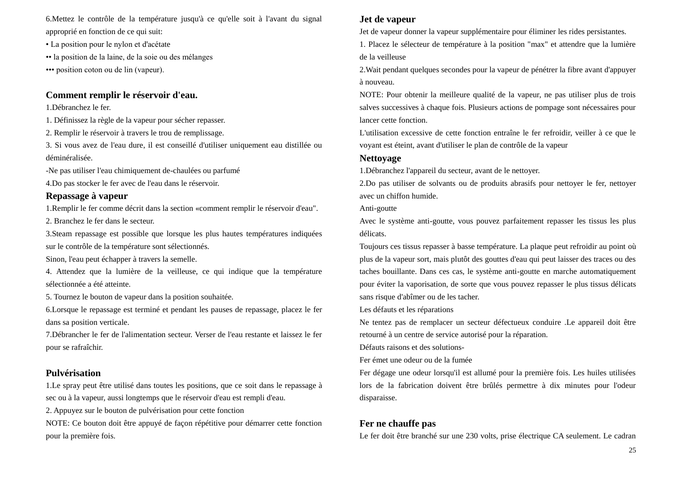6.Mettez le contrôle de la température jusqu'à ce qu'elle soit à l'avant du signal approprié en fonction de ce qui suit:

• La position pour le nylon et d'acétate

•• la position de la laine, de la soie ou des mélanges

••• position coton ou de lin (vapeur).

### **Comment remplir le réservoir d'eau.**

1.Débranchez le fer.

1. Définissez la règle de la vapeur pour sécher repasser.

2. Remplir le réservoir à travers le trou de remplissage.

3. Si vous avez de l'eau dure, il est conseillé d'utiliser uniquement eau distillée ou déminéralisée.

-Ne pas utiliser l'eau chimiquement de-chaulées ou parfumé

4.Do pas stocker le fer avec de l'eau dans le réservoir.

## **Repassage à vapeur**

1.Remplir le fer comme décrit dans la section «comment remplir le réservoir d'eau".

2. Branchez le fer dans le secteur.

3.Steam repassage est possible que lorsque les plus hautes températures indiquées sur le contrôle de la température sont sélectionnés.

Sinon, l'eau peut échapper à travers la semelle.

4. Attendez que la lumière de la veilleuse, ce qui indique que la température s électionn ée a été atteinte.

5. Tournez le bouton de vapeur dans la position souhaitée.

6.Lorsque le repassage est terminé et pendant les pauses de repassage, placez le fer dans sa position verticale.

7.Débrancher le fer de l'alimentation secteur. Verser de l'eau restante et laissez le fer pour se rafra chir.

# **Pulvérisation**

1.Le spray peut être utilisé dans toutes les positions, que ce soit dans le repassage à sec ou à la vapeur, aussi longtemps que le réservoir d'eau est rempli d'eau.

2. Appuyez sur le bouton de pulvérisation pour cette fonction

NOTE: Ce bouton doit être appuyé de façon répétitive pour démarrer cette fonction pour la première fois.

## **Jet de vapeur**

Jet de vapeur donner la vapeur supplémentaire pour éliminer les rides persistantes.

1. Placez le sélecteur de température à la position "max" et attendre que la lumière de la veilleuse

2.Wait pendant quelques secondes pour la vapeur de pénétrer la fibre avant d'appuyer à nouveau.

NOTE: Pour obtenir la meilleure qualité de la vapeur, ne pas utiliser plus de trois salves successives à chaque fois. Plusieurs actions de pompage sont nécessaires pour lancer cette fonction.

L'utilisation excessive de cette fonction entraîne le fer refroidir, veiller à ce que le voyant est éteint, avant d'utiliser le plan de contrôle de la vapeur

### **Nettoyage**

1.Débranchez l'appareil du secteur, avant de le nettoyer.

2.Do pas utiliser de solvants ou de produits abrasifs pour nettoyer le fer, nettoyer avec un chiffon humide.

Anti-goutte

Avec le système anti-goutte, vous pouvez parfaitement repasser les tissus les plus d dicats.

Toujours ces tissus repasser à basse température. La plaque peut refroidir au point où plus de la vapeur sort, mais plut $\hat{\alpha}$  des gouttes d'eau qui peut laisser des traces ou des taches bouillante. Dans ces cas, le système anti-goutte en marche automatiquement pour éviter la vaporisation, de sorte que vous pouvez repasser le plus tissus délicats sans risque d'abîmer ou de les tacher.

Les défauts et les réparations

Ne tentez pas de remplacer un secteur défectueux conduire .Le appareil doit être retourné à un centre de service autorisé pour la réparation.

Défauts raisons et des solutions-

Fer émet une odeur ou de la fumée

Fer dégage une odeur lorsqu'il est allumé pour la première fois. Les huiles utilisées lors de la fabrication doivent être brûlés permettre à dix minutes pour l'odeur disparaisse.

# **Fer ne chauffe pas**

Le fer doit être branché sur une 230 volts, prise électrique CA seulement. Le cadran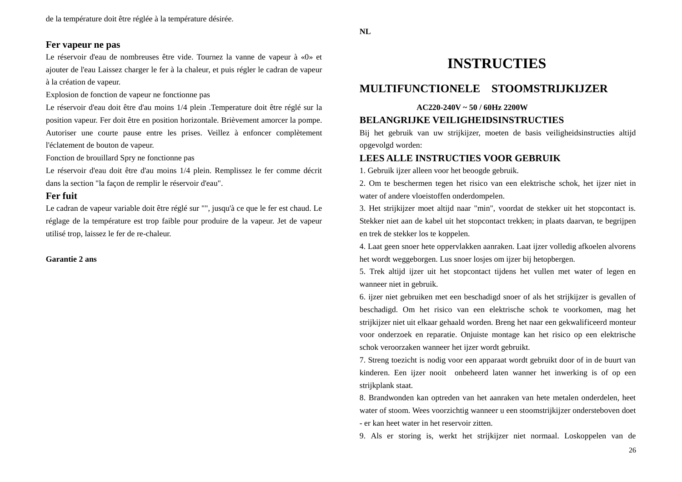### **Fer vapeur ne pas**

Le réservoir d'eau de nombreuses être vide. Tournez la vanne de vapeur à «0» et ajouter de l'eau Laissez charger le fer à la chaleur, et puis régler le cadran de vapeur à la création de vapeur.

Explosion de fonction de vapeur ne fonctionne pas

Le réservoir d'eau doit être d'au moins  $1/4$  plein .Temperature doit être réglé sur la position vapeur. Fer doit être en position horizontale. Brièvement amorcer la pompe. Autoriser une courte pause entre les prises. Veillez à enfoncer complètement l'éclatement de bouton de vapeur.

Fonction de brouillard Spry ne fonctionne pas

Le réservoir d'eau doit être d'au moins  $1/4$  plein. Remplissez le fer comme décrit dans la section "la façon de remplir le réservoir d'eau".

### **Fer fuit**

Le cadran de vapeur variable doit être réglé sur "", jusqu'à ce que le fer est chaud. Le réglage de la température est trop faible pour produire de la vapeur. Jet de vapeur utilisé trop, laissez le fer de re-chaleur.

**Garantie 2 ans**

**NL**

# **INSTRUCTIES**

# **MULTIFUNCTIONELE STOOMSTRIJKIJZER**

### **AC220-240V ~ 50 / 60Hz 2200W**

### **BELANGRIJKE VEILIGHEIDSINSTRUCTIES**

Bij het gebruik van uw strijkijzer, moeten de basis veiligheidsinstructies altijd opgevolgd worden:

## **LEES ALLE INSTRUCTIES VOOR GEBRUIK**

1. Gebruik ijzer alleen voor het beoogde gebruik.

2. Om te beschermen tegen het risico van een elektrische schok, het ijzer niet in water of andere vloeistoffen onderdompelen.

3. Het strijkijzer moet altijd naar "min", voordat de stekker uit het stopcontact is. Stekker niet aan de kabel uit het stopcontact trekken; in plaats daarvan, te begrijpen en trek de stekker los te koppelen.

4. Laat geen snoer hete oppervlakken aanraken. Laat ijzer volledig afkoelen alvorens het wordt weggeborgen. Lus snoer losjes om ijzer bij hetopbergen.

5. Trek altijd ijzer uit het stopcontact tijdens het vullen met water of legen en wanneer niet in gebruik.

6. ijzer niet gebruiken met een beschadigd snoer of als het strijkijzer is gevallen of beschadigd. Om het risico van een elektrische schok te voorkomen, mag het strijkijzer niet uit elkaar gehaald worden. Breng het naar een gekwalificeerd monteur voor onderzoek en reparatie. Onjuiste montage kan het risico op een elektrische schok veroorzaken wanneer het ijzer wordt gebruikt.

7. Streng toezicht is nodig voor een apparaat wordt gebruikt door of in de buurt van kinderen. Een ijzer nooit onbeheerd laten wanner het inwerking is of op een strijkplank staat.

8. Brandwonden kan optreden van het aanraken van hete metalen onderdelen, heet water of stoom. Wees voorzichtig wanneer u een stoomstrijkijzer ondersteboven doet - er kan heet water in het reservoir zitten.

9. Als er storing is, werkt het strijkijzer niet normaal. Loskoppelen van de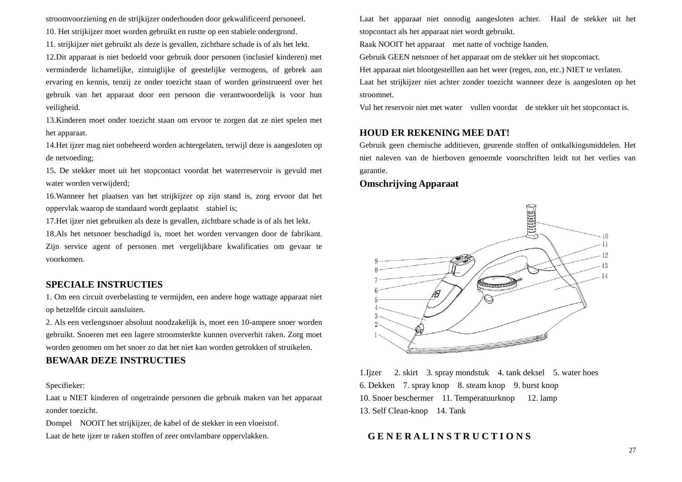stroomvoorziening en de strijkijzer onderhouden door gekwalificeerd personeel. 10. Het strijkijzer moet worden gebruikt en rustte op een stabiele ondergrond.

11. strijkijzer niet gebruikt als deze is gevallen, zichtbare schade is of als het lekt.

12.Dit apparaat is niet bedoeld voor gebruik door personen (inclusief kinderen) met verminderde lichamelijke, zintuiglijke of geestelijke vermogens, of gebrek aan ervaring en kennis, tenzij ze onder toezicht staan of worden geïnstrueerd over het gebruik van het apparaat door een persoon die verantwoordelijk is voor hun veiligheid.

13.Kinderen moet onder toezicht staan om ervoor te zorgen dat ze niet spelen met het apparaat.

14.Het ijzer mag niet onbeheerd worden achtergelaten, terwijl deze is aangesloten op de netvoeding;

15. De stekker moet uit het stopcontact voordat het waterreservoir is gevuld met water worden verwijderd;

16.Wanneer het plaatsen van het strijkijzer op zijn stand is, zorg ervoor dat het oppervlak waarop de standaard wordt geplaatst stabiel is;

17.Het ijzer niet gebruiken als deze is gevallen, zichtbare schade is of als het lekt.

18.Als het netsnoer beschadigd is, moet het worden vervangen door de fabrikant. Zijn service agent of personen met vergelijkbare kwalificaties om gevaar te voorkomen.

## **SPECIALE INSTRUCTIES**

1. Om een circuit overbelasting te vermijden, een andere hoge wattage apparaat niet op hetzelfde circuit aansluiten.

2. Als een verlengsnoer absoluut noodzakelijk is, moet een 10-ampere snoer worden gebruikt. Snoeren met een lagere stroomsterkte kunnen oververhit raken. Zorg moet worden genomen om het snoer zo dat het niet kan worden getrokken of struikelen.

## **BEWAAR DEZE INSTRUCTIES**

### Specifieker:

Laat u NIET kinderen of ongetrainde personen die gebruik maken van het apparaat zonder toezicht.

Dompel NOOIT het strijkijzer, de kabel of de stekker in een vloeistof. Laat de hete ijzer te raken stoffen of zeer ontvlambare oppervlakken.

Laat het apparaat niet onnodig aangesloten achter. Haal de stekker uit het stopcontact als het apparaat niet wordt gebruikt.

Raak NOOIT het apparaat met natte of vochtige handen.

Gebruik GEEN netsnoer of het apparaat om de stekker uit het stopcontact.

Het apparaat niet blootgestelllen aan het weer (regen, zon, etc.) NIET te verlaten.

Laat het strijkijzer niet achter zonder toezicht wanneer deze is aangesloten op het stroomnet.

Vul het reservoir niet met water vullen voordat de stekker uit het stopcontact is.

### **HOUD ER REKENING MEE DAT!**

Gebruik geen chemische additieven, geurende stoffen of ontkalkingsmiddelen. Het niet naleven van de hierboven genoemde voorschriften leidt tot het verlies van garantie.

### **Omschrijving Apparaat**



1.Ijzer 2. skirt 3. spray mondstuk 4. tank deksel 5. water hoes 6. Dekken 7. spray knop 8. steam knop 9. burst knop 10. Snoer beschermer 11. Temperatuurknop 12. lamp 13. Self Clean-knop 14. Tank

### **G E N E R A L I N S T R U C T I O N S**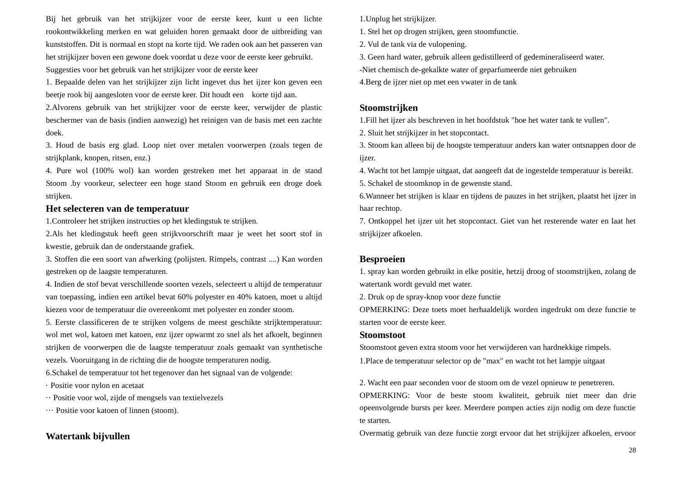Bij het gebruik van het strijkijzer voor de eerste keer, kunt u een lichte rookontwikkeling merken en wat geluiden horen gemaakt door de uitbreiding van kunststoffen. Dit is normaal en stopt na korte tijd. We raden ook aan het passeren van het strijkijzer boven een gewone doek voordat u deze voor de eerste keer gebruikt. Suggesties voor het gebruik van het strijkijzer voor de eerste keer

1. Bepaalde delen van het strijkijzer zijn licht ingevet dus het ijzer kon geven een beetje rook bij aangesloten voor de eerste keer. Dit houdt een korte tijd aan.

2.Alvorens gebruik van het strijkijzer voor de eerste keer, verwijder de plastic beschermer van de basis (indien aanwezig) het reinigen van de basis met een zachte doek.

3. Houd de basis erg glad. Loop niet over metalen voorwerpen (zoals tegen de strijkplank, knopen, ritsen, enz.)

4. Pure wol (100% wol) kan worden gestreken met het apparaat in de stand Stoom .by voorkeur, selecteer een hoge stand Stoom en gebruik een droge doek strijken.

### **Het selecteren van de temperatuur**

1.Controleer het strijken instructies op het kledingstuk te strijken.

2.Als het kledingstuk heeft geen strijkvoorschrift maar je weet het soort stof in kwestie, gebruik dan de onderstaande grafiek.

3. Stoffen die een soort van afwerking (polijsten. Rimpels, contrast ....) Kan worden gestreken op de laagste temperaturen.

4. Indien de stof bevat verschillende soorten vezels, selecteert u altijd de temperatuur van toepassing, indien een artikel bevat 60% polyester en 40% katoen, moet u altijd kiezen voor de temperatuur die overeenkomt met polyester en zonder stoom.

5. Eerste classificeren de te strijken volgens de meest geschikte strijktemperatuur: wol met wol, katoen met katoen, enz ijzer opwarmt zo snel als het afkoelt, beginnen strijken de voorwerpen die de laagste temperatuur zoals gemaakt van synthetische vezels. Vooruitgang in de richting die de hoogste temperaturen nodig.

6.Schakel de temperatuur tot het tegenover dan het signaal van de volgende:

· Positie voor nylon en acetaat

·· Positie voor wol, zijde of mengsels van textielvezels

··· Positie voor katoen of linnen (stoom).

## **Watertank bijvullen**

1.Unplug het strijkijzer.

1. Stel het op drogen strijken, geen stoomfunctie.

2. Vul de tank via de vulopening.

3. Geen hard water, gebruik alleen gedistilleerd of gedemineraliseerd water.

-Niet chemisch de-gekalkte water of geparfumeerde niet gebruiken

4.Berg de ijzer niet op met een vwater in de tank

### **Stoomstrijken**

1.Fill het ijzer als beschreven in het hoofdstuk "hoe het water tank te vullen".

2. Sluit het strijkijzer in het stopcontact.

3. Stoom kan alleen bij de hoogste temperatuur anders kan water ontsnappen door de ijzer.

4. Wacht tot het lampje uitgaat, dat aangeeft dat de ingestelde temperatuur is bereikt.

5. Schakel de stoomknop in de gewenste stand.

6.Wanneer het strijken is klaar en tijdens de pauzes in het strijken, plaatst het ijzer in haar rechtop.

7. Ontkoppel het ijzer uit het stopcontact. Giet van het resterende water en laat het strijkijzer afkoelen.

### **Besproeien**

1. spray kan worden gebruikt in elke positie, hetzij droog of stoomstrijken, zolang de watertank wordt gevuld met water.

2. Druk op de spray-knop voor deze functie

OPMERKING: Deze toets moet herhaaldelijk worden ingedrukt om deze functie te starten voor de eerste keer.

### **Stoomstoot**

Stoomstoot geven extra stoom voor het verwijderen van hardnekkige rimpels.

1.Place de temperatuur selector op de "max" en wacht tot het lampje uitgaat

2. Wacht een paar seconden voor de stoom om de vezel opnieuw te penetreren.

OPMERKING: Voor de beste stoom kwaliteit, gebruik niet meer dan drie opeenvolgende bursts per keer. Meerdere pompen acties zijn nodig om deze functie te starten.

Overmatig gebruik van deze functie zorgt ervoor dat het strijkijzer afkoelen, ervoor